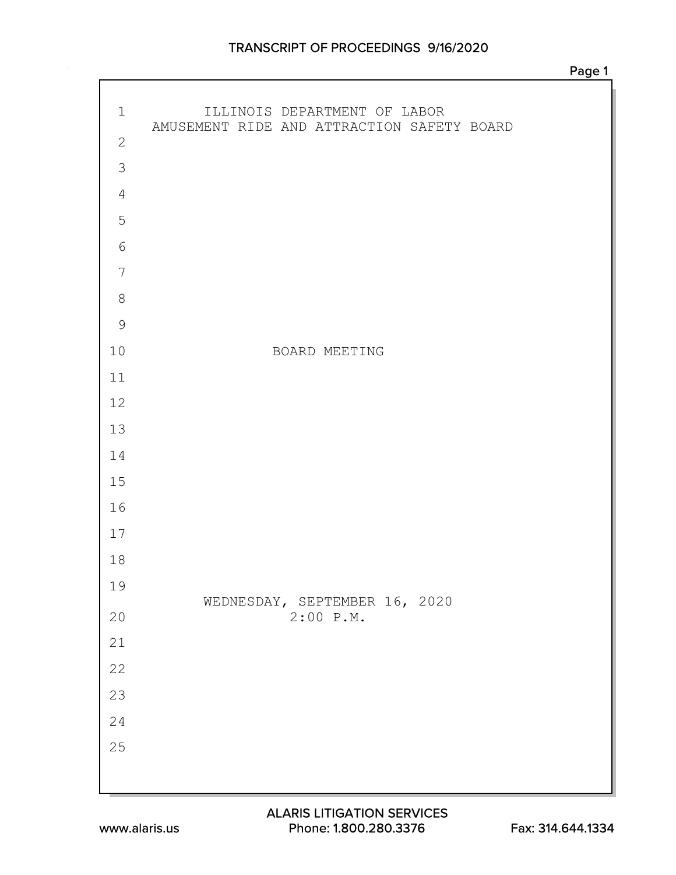## TRANSCRIPT OF PROCEEDINGS 9/16/2020

| $\mathbf 1$     | ILLINOIS DEPARTMENT OF LABOR<br>AMUSEMENT RIDE AND ATTRACTION SAFETY BOARD |
|-----------------|----------------------------------------------------------------------------|
| $\mathbf{2}$    |                                                                            |
| $\mathcal{S}$   |                                                                            |
| $\overline{4}$  |                                                                            |
| 5               |                                                                            |
| $\epsilon$      |                                                                            |
| $7\phantom{.0}$ |                                                                            |
| $\,8\,$         |                                                                            |
| $\overline{9}$  |                                                                            |
| 10              | BOARD MEETING                                                              |
| 11              |                                                                            |
| 12              |                                                                            |
| 13              |                                                                            |
| 14              |                                                                            |
| 15              |                                                                            |
| 16              |                                                                            |
| 17              |                                                                            |
| 18              |                                                                            |
| 19              | WEDNESDAY, SEPTEMBER 16, 2020                                              |
| $20$            | $2:00$ P.M.                                                                |
| $21$            |                                                                            |
| 22              |                                                                            |
| 23              |                                                                            |
| 24              |                                                                            |
| $2\,5$          |                                                                            |
|                 |                                                                            |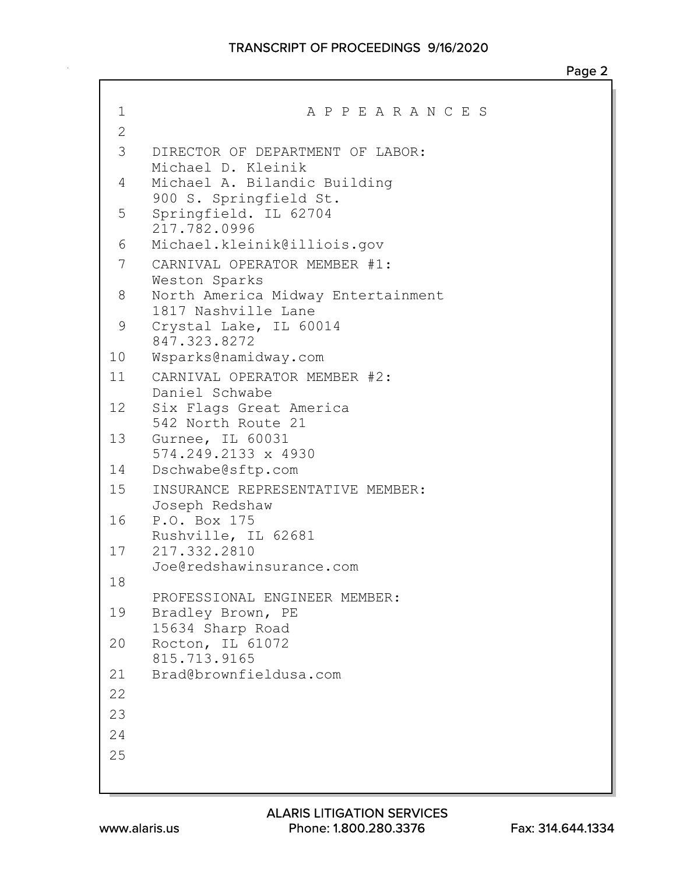```
1 A P P E A R A N C E S
2
 3 DIRECTOR OF DEPARTMENT OF LABOR:
    Michael D. Kleinik
4 Michael A. Bilandic Building
    900 S. Springfield St.
 5 Springfield. IL 62704
    217.782.0996
 6 Michael.kleinik@illiois.gov
7 CARNIVAL OPERATOR MEMBER #1:
    Weston Sparks
8 North America Midway Entertainment
    1817 Nashville Lane
9 Crystal Lake, IL 60014
    847.323.8272
10 Wsparks@namidway.com
11 CARNIVAL OPERATOR MEMBER #2:
    Daniel Schwabe
12 Six Flags Great America
    542 North Route 21
13 Gurnee, IL 60031
    574.249.2133 x 4930
14 Dschwabe@sftp.com
15 INSURANCE REPRESENTATIVE MEMBER:
    Joseph Redshaw
16 P.O. Box 175
    Rushville, IL 62681
17 217.332.2810
    Joe@redshawinsurance.com
18
    PROFESSIONAL ENGINEER MEMBER:
19 Bradley Brown, PE
    15634 Sharp Road
20 Rocton, IL 61072
    815.713.9165
21 Brad@brownfieldusa.com
22
23
24
25
```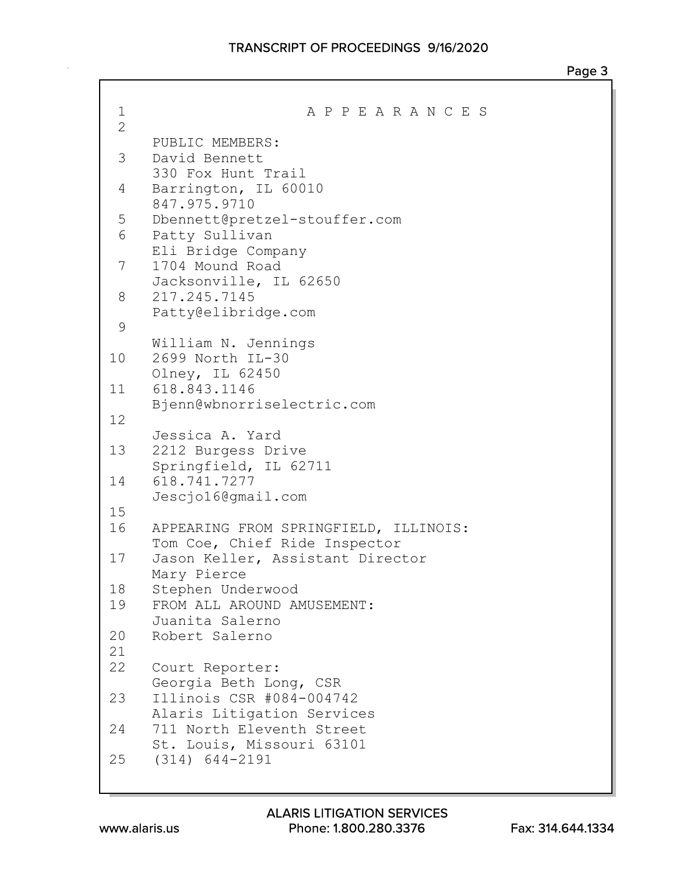| 1              | A P P E A R A N C E S                           |
|----------------|-------------------------------------------------|
| $\overline{2}$ |                                                 |
| 3              | PUBLIC MEMBERS:<br>David Bennett                |
|                | 330 Fox Hunt Trail                              |
| 4              | Barrington, IL 60010                            |
|                | 847.975.9710                                    |
| 5              | Dbennett@pretzel-stouffer.com                   |
| 6              | Patty Sullivan                                  |
| 7              | Eli Bridge Company<br>1704 Mound Road           |
|                | Jacksonville, IL 62650                          |
| 8              | 217.245.7145                                    |
|                | Patty@elibridge.com                             |
| 9              |                                                 |
|                | William N. Jennings                             |
| 10             | 2699 North IL-30                                |
| 11             | Olney, IL 62450<br>618.843.1146                 |
|                | Bjenn@wbnorriselectric.com                      |
| 12             |                                                 |
|                | Jessica A. Yard                                 |
| 13             | 2212 Burgess Drive                              |
|                | Springfield, IL 62711                           |
| 14             | 618.741.7277<br>Jescjo16@qmail.com              |
| 15             |                                                 |
| 16             | APPEARING FROM SPRINGFIELD, ILLINOIS:           |
|                | Tom Coe, Chief Ride Inspector                   |
| 17             | Jason Keller, Assistant Director                |
|                | Mary Pierce                                     |
| 18             | Stephen Underwood                               |
| 19             | FROM ALL AROUND AMUSEMENT:<br>Juanita Salerno   |
| 20             | Robert Salerno                                  |
| 21             |                                                 |
| 22             | Court Reporter:                                 |
|                | Georgia Beth Long, CSR                          |
| 23             | Illinois CSR #084-004742                        |
|                | Alaris Litigation Services                      |
| 24             | 711 North Eleventh Street                       |
| 25             | St. Louis, Missouri 63101<br>$(314) 644 - 2191$ |
|                |                                                 |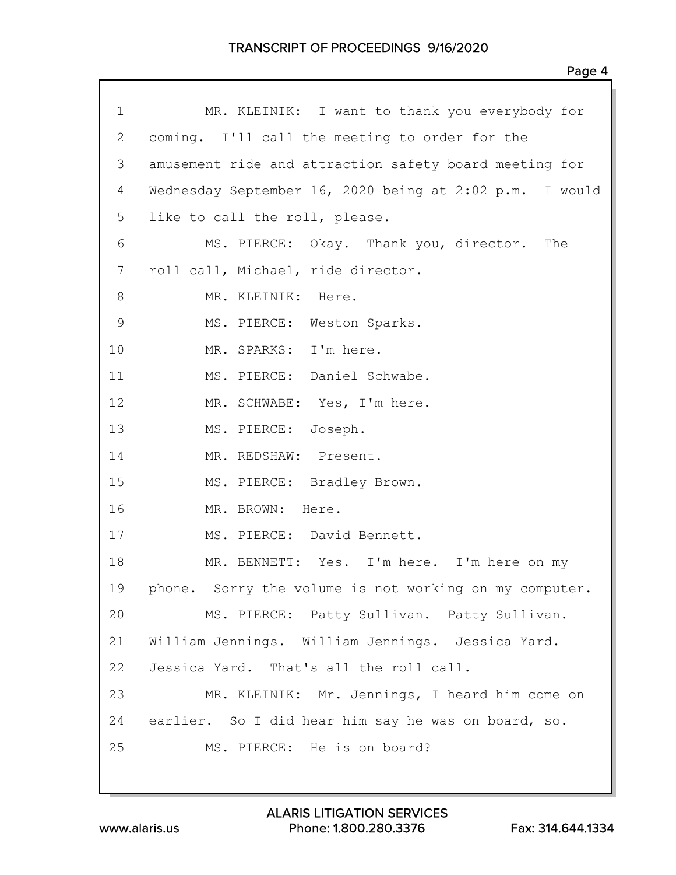| $\mathbf 1$  | MR. KLEINIK: I want to thank you everybody for          |
|--------------|---------------------------------------------------------|
| $\mathbf{2}$ | coming. I'll call the meeting to order for the          |
| 3            | amusement ride and attraction safety board meeting for  |
| 4            | Wednesday September 16, 2020 being at 2:02 p.m. I would |
| 5            | like to call the roll, please.                          |
| 6            | MS. PIERCE: Okay. Thank you, director. The              |
| 7            | roll call, Michael, ride director.                      |
| 8            | MR. KLEINIK: Here.                                      |
| $\mathsf 9$  | MS. PIERCE: Weston Sparks.                              |
| 10           | MR. SPARKS: I'm here.                                   |
| 11           | MS. PIERCE: Daniel Schwabe.                             |
| 12           | MR. SCHWABE: Yes, I'm here.                             |
| 13           | MS. PIERCE: Joseph.                                     |
| 14           | MR. REDSHAW: Present.                                   |
| 15           | MS. PIERCE: Bradley Brown.                              |
| 16           | MR. BROWN: Here.                                        |
| 17           | MS. PIERCE: David Bennett.                              |
| 18           | MR. BENNETT: Yes. I'm here. I'm here on my              |
| 19           | phone. Sorry the volume is not working on my computer.  |
| 20           | MS. PIERCE: Patty Sullivan. Patty Sullivan.             |
| 21           | William Jennings. William Jennings. Jessica Yard.       |
| 22           | Jessica Yard. That's all the roll call.                 |
| 23           | MR. KLEINIK: Mr. Jennings, I heard him come on          |
| 24           | earlier. So I did hear him say he was on board, so.     |
| 25           | MS. PIERCE: He is on board?                             |
|              |                                                         |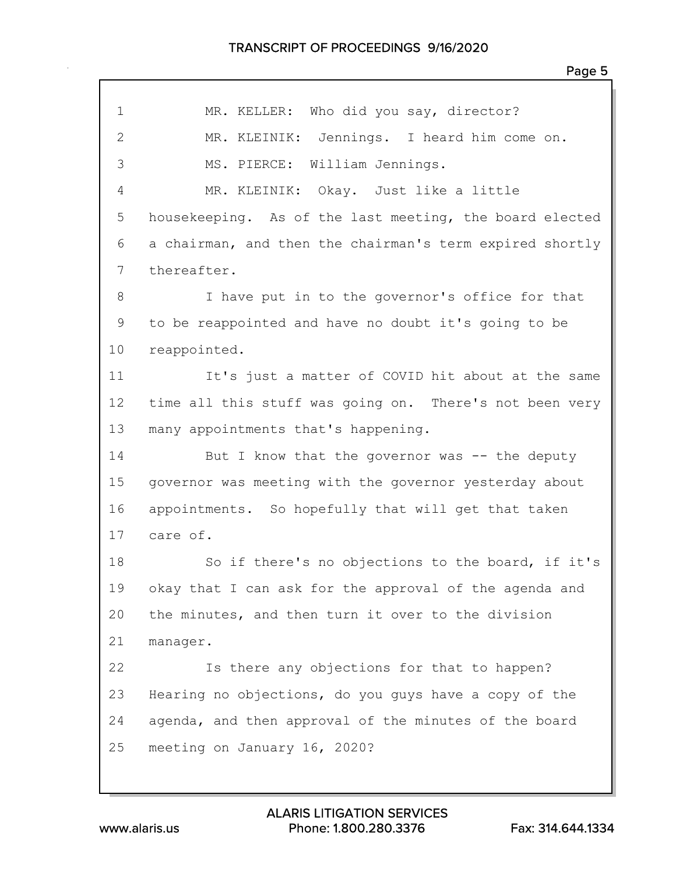|              | Page 5                                                   |
|--------------|----------------------------------------------------------|
| $\mathbf{1}$ | MR. KELLER: Who did you say, director?                   |
| $\mathbf{2}$ | MR. KLEINIK: Jennings. I heard him come on.              |
|              |                                                          |
| 3            | MS. PIERCE: William Jennings.                            |
| 4            | MR. KLEINIK: Okay. Just like a little                    |
| 5            | housekeeping. As of the last meeting, the board elected  |
| 6            | a chairman, and then the chairman's term expired shortly |
| 7            | thereafter.                                              |
| 8            | I have put in to the governor's office for that          |
| 9            | to be reappointed and have no doubt it's going to be     |
| 10           | reappointed.                                             |
| 11           | It's just a matter of COVID hit about at the same        |
| 12           | time all this stuff was going on. There's not been very  |
| 13           | many appointments that's happening.                      |
| 14           | But I know that the governor was -- the deputy           |
| 15           | governor was meeting with the governor yesterday about   |
| 16           | appointments. So hopefully that will get that taken      |
| 17           | care of.                                                 |
| 18           | So if there's no objections to the board, if it's        |
| 19           | okay that I can ask for the approval of the agenda and   |
| 20           | the minutes, and then turn it over to the division       |
| 21           | manager.                                                 |
| 22           | Is there any objections for that to happen?              |
| 23           | Hearing no objections, do you guys have a copy of the    |
| 24           | agenda, and then approval of the minutes of the board    |
| 25           | meeting on January 16, 2020?                             |
|              |                                                          |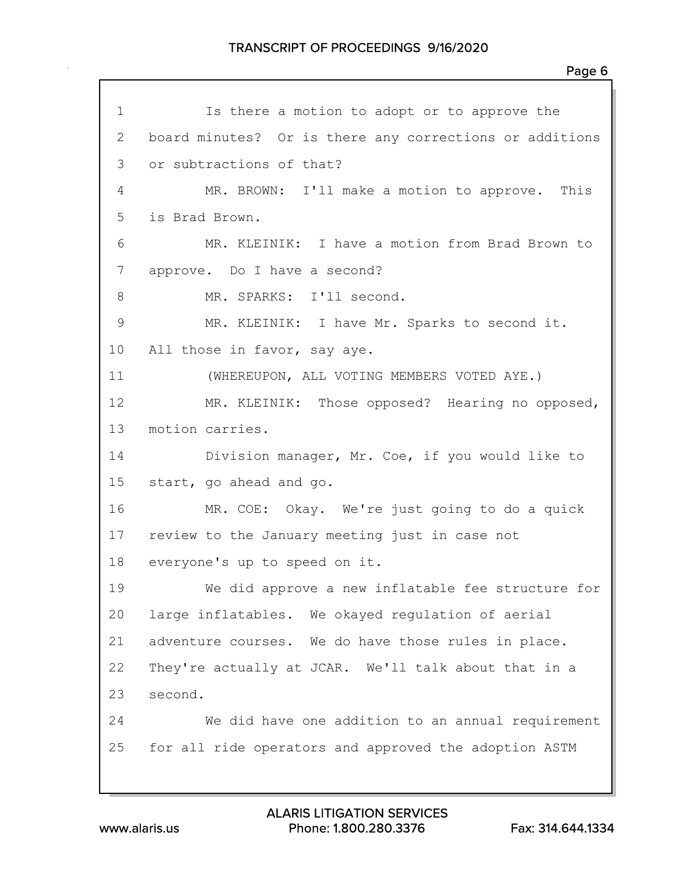Is there a motion to adopt or to approve the board minutes? Or is there any corrections or additions or subtractions of that? MR. BROWN: I'll make a motion to approve. This is Brad Brown. MR. KLEINIK: I have a motion from Brad Brown to approve. Do I have a second? 8 MR. SPARKS: I'll second. MR. KLEINIK: I have Mr. Sparks to second it. All those in favor, say aye. (WHEREUPON, ALL VOTING MEMBERS VOTED AYE.) MR. KLEINIK: Those opposed? Hearing no opposed, motion carries. Division manager, Mr. Coe, if you would like to start, go ahead and go. MR. COE: Okay. We're just going to do a quick review to the January meeting just in case not everyone's up to speed on it. We did approve a new inflatable fee structure for large inflatables. We okayed regulation of aerial adventure courses. We do have those rules in place. They're actually at JCAR. We'll talk about that in a second. We did have one addition to an annual requirement for all ride operators and approved the adoption ASTM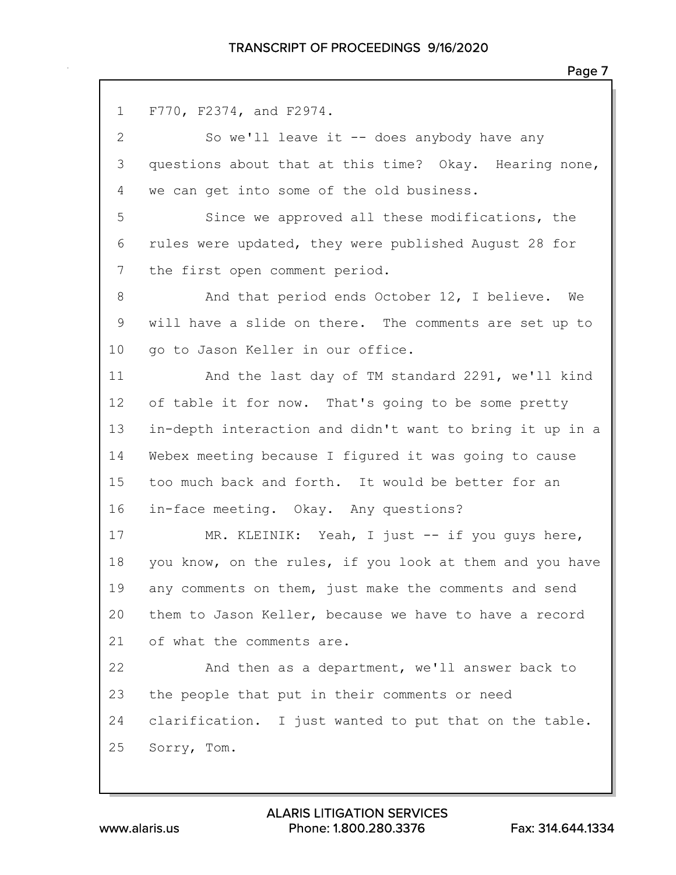F770, F2374, and F2974. So we'll leave it -- does anybody have any questions about that at this time? Okay. Hearing none, we can get into some of the old business. Since we approved all these modifications, the rules were updated, they were published August 28 for the first open comment period. 8 And that period ends October 12, I believe. We will have a slide on there. The comments are set up to 10 go to Jason Keller in our office. And the last day of TM standard 2291, we'll kind 12 of table it for now. That's going to be some pretty in-depth interaction and didn't want to bring it up in a Webex meeting because I figured it was going to cause too much back and forth. It would be better for an in-face meeting. Okay. Any questions? 17 MR. KLEINIK: Yeah, I just -- if you guys here, you know, on the rules, if you look at them and you have any comments on them, just make the comments and send them to Jason Keller, because we have to have a record of what the comments are. And then as a department, we'll answer back to the people that put in their comments or need clarification. I just wanted to put that on the table. Sorry, Tom.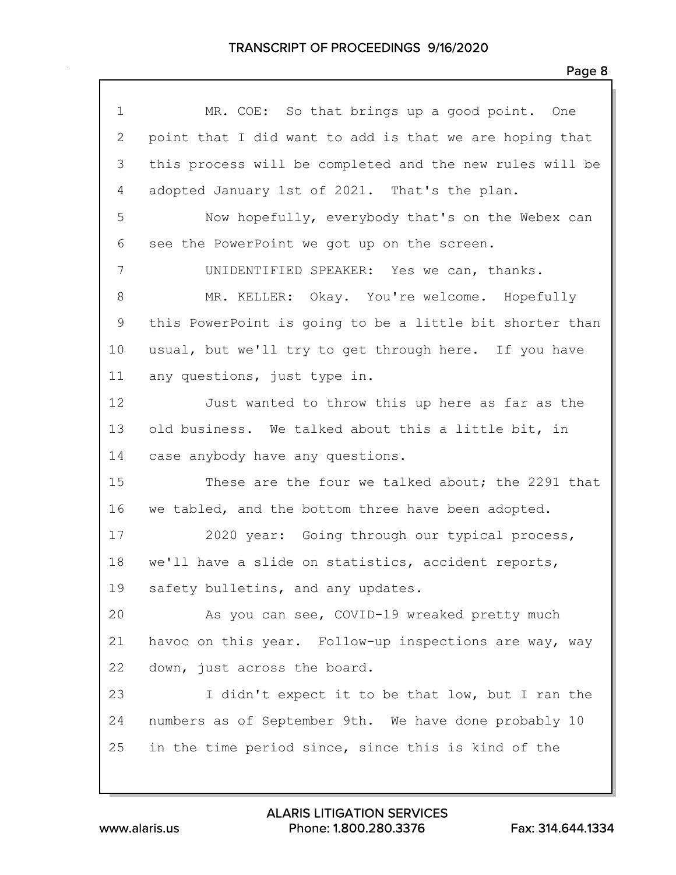| $\mathbf 1$  | MR. COE: So that brings up a good point. One             |
|--------------|----------------------------------------------------------|
| $\mathbf{2}$ | point that I did want to add is that we are hoping that  |
| 3            | this process will be completed and the new rules will be |
| 4            | adopted January 1st of 2021. That's the plan.            |
| 5            | Now hopefully, everybody that's on the Webex can         |
| 6            | see the PowerPoint we got up on the screen.              |
| 7            | UNIDENTIFIED SPEAKER: Yes we can, thanks.                |
| 8            | MR. KELLER: Okay. You're welcome. Hopefully              |
| $\mathsf 9$  | this PowerPoint is going to be a little bit shorter than |
| 10           | usual, but we'll try to get through here. If you have    |
| 11           | any questions, just type in.                             |
| 12           | Just wanted to throw this up here as far as the          |
| 13           | old business. We talked about this a little bit, in      |
| 14           | case anybody have any questions.                         |
| 15           | These are the four we talked about; the 2291 that        |
| 16           | we tabled, and the bottom three have been adopted.       |
| 17           | 2020 year: Going through our typical process,            |
| 18           | we'll have a slide on statistics, accident reports,      |
| 19           | safety bulletins, and any updates.                       |
| 20           | As you can see, COVID-19 wreaked pretty much             |
| 21           | havoc on this year. Follow-up inspections are way, way   |
| 22           | down, just across the board.                             |
| 23           | I didn't expect it to be that low, but I ran the         |
| 24           | numbers as of September 9th. We have done probably 10    |
| 25           | in the time period since, since this is kind of the      |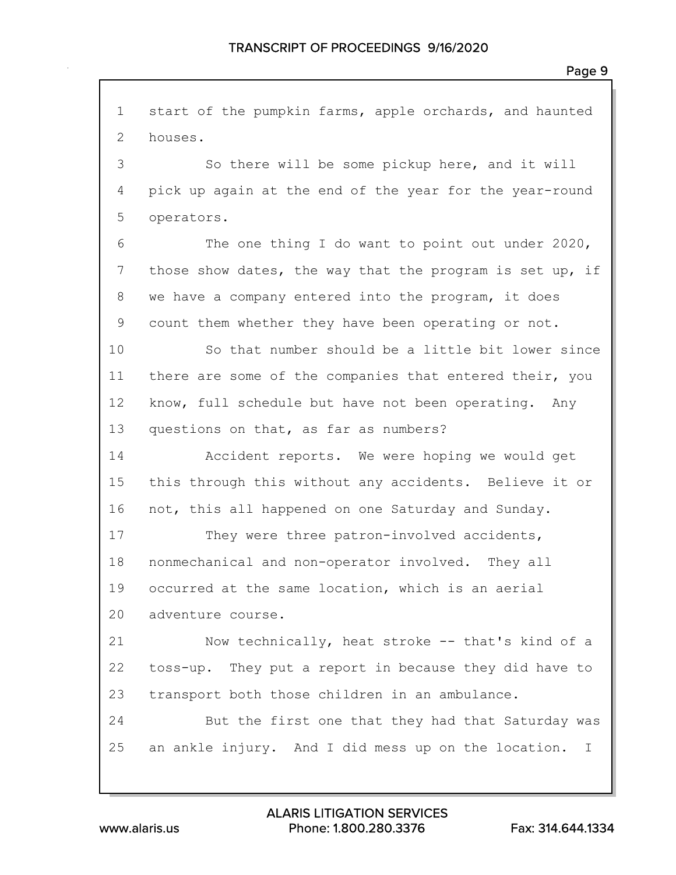start of the pumpkin farms, apple orchards, and haunted houses. So there will be some pickup here, and it will pick up again at the end of the year for the year-round operators. The one thing I do want to point out under 2020, those show dates, the way that the program is set up, if we have a company entered into the program, it does count them whether they have been operating or not. So that number should be a little bit lower since there are some of the companies that entered their, you know, full schedule but have not been operating. Any questions on that, as far as numbers? Accident reports. We were hoping we would get this through this without any accidents. Believe it or not, this all happened on one Saturday and Sunday. 17 They were three patron-involved accidents, nonmechanical and non-operator involved. They all occurred at the same location, which is an aerial adventure course. Now technically, heat stroke -- that's kind of a toss-up. They put a report in because they did have to transport both those children in an ambulance. But the first one that they had that Saturday was an ankle injury. And I did mess up on the location. I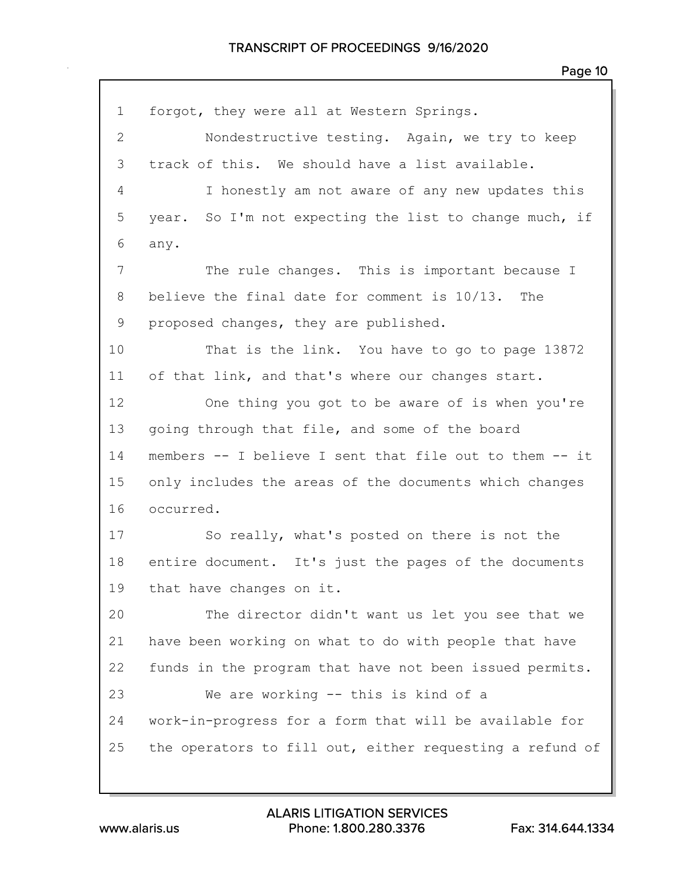forgot, they were all at Western Springs. Nondestructive testing. Again, we try to keep track of this. We should have a list available. I honestly am not aware of any new updates this year. So I'm not expecting the list to change much, if any. The rule changes. This is important because I believe the final date for comment is 10/13. The proposed changes, they are published. That is the link. You have to go to page 13872 of that link, and that's where our changes start. One thing you got to be aware of is when you're going through that file, and some of the board members -- I believe I sent that file out to them -- it only includes the areas of the documents which changes occurred. So really, what's posted on there is not the entire document. It's just the pages of the documents that have changes on it. The director didn't want us let you see that we have been working on what to do with people that have funds in the program that have not been issued permits. We are working -- this is kind of a work-in-progress for a form that will be available for the operators to fill out, either requesting a refund of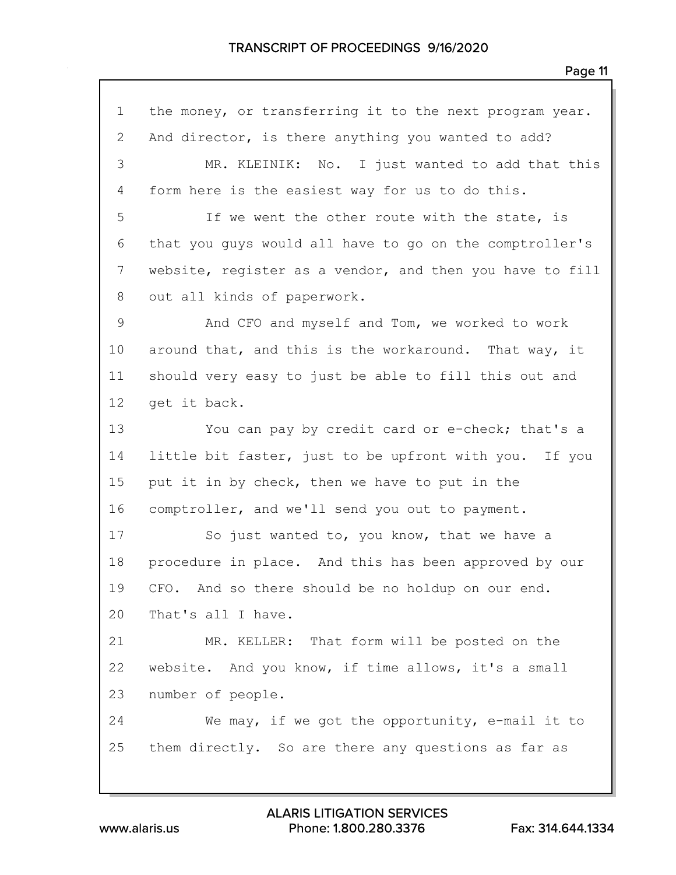the money, or transferring it to the next program year. And director, is there anything you wanted to add? MR. KLEINIK: No. I just wanted to add that this form here is the easiest way for us to do this. If we went the other route with the state, is that you guys would all have to go on the comptroller's website, register as a vendor, and then you have to fill out all kinds of paperwork. And CFO and myself and Tom, we worked to work around that, and this is the workaround. That way, it should very easy to just be able to fill this out and get it back. You can pay by credit card or e-check; that's a little bit faster, just to be upfront with you. If you put it in by check, then we have to put in the comptroller, and we'll send you out to payment. 17 So just wanted to, you know, that we have a procedure in place. And this has been approved by our CFO. And so there should be no holdup on our end. That's all I have. MR. KELLER: That form will be posted on the website. And you know, if time allows, it's a small number of people. We may, if we got the opportunity, e-mail it to them directly. So are there any questions as far as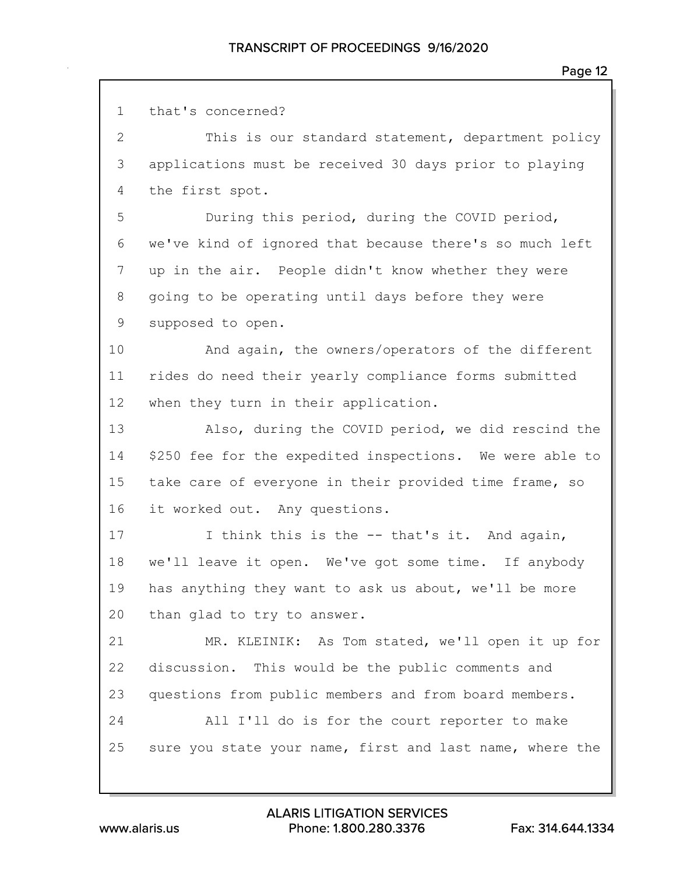| $\mathbf 1$    | that's concerned?                                        |
|----------------|----------------------------------------------------------|
| $\mathbf{2}$   | This is our standard statement, department policy        |
| 3              | applications must be received 30 days prior to playing   |
| $\overline{4}$ | the first spot.                                          |
| 5              | During this period, during the COVID period,             |
| 6              | we've kind of ignored that because there's so much left  |
| 7              | up in the air. People didn't know whether they were      |
| 8              | going to be operating until days before they were        |
| $\mathsf 9$    | supposed to open.                                        |
| 10             | And again, the owners/operators of the different         |
| 11             | rides do need their yearly compliance forms submitted    |
| 12             | when they turn in their application.                     |
| 13             | Also, during the COVID period, we did rescind the        |
| 14             | \$250 fee for the expedited inspections. We were able to |
| 15             | take care of everyone in their provided time frame, so   |
| 16             | it worked out. Any questions.                            |
| 17             | I think this is the -- that's it. And again,             |
| 18             | we'll leave it open. We've got some time. If anybody     |
| 19             | has anything they want to ask us about, we'll be more    |
| 20             | than glad to try to answer.                              |
| 21             | MR. KLEINIK: As Tom stated, we'll open it up for         |
| 22             | discussion. This would be the public comments and        |
| 23             | questions from public members and from board members.    |
| 24             | All I'll do is for the court reporter to make            |
| 25             | sure you state your name, first and last name, where the |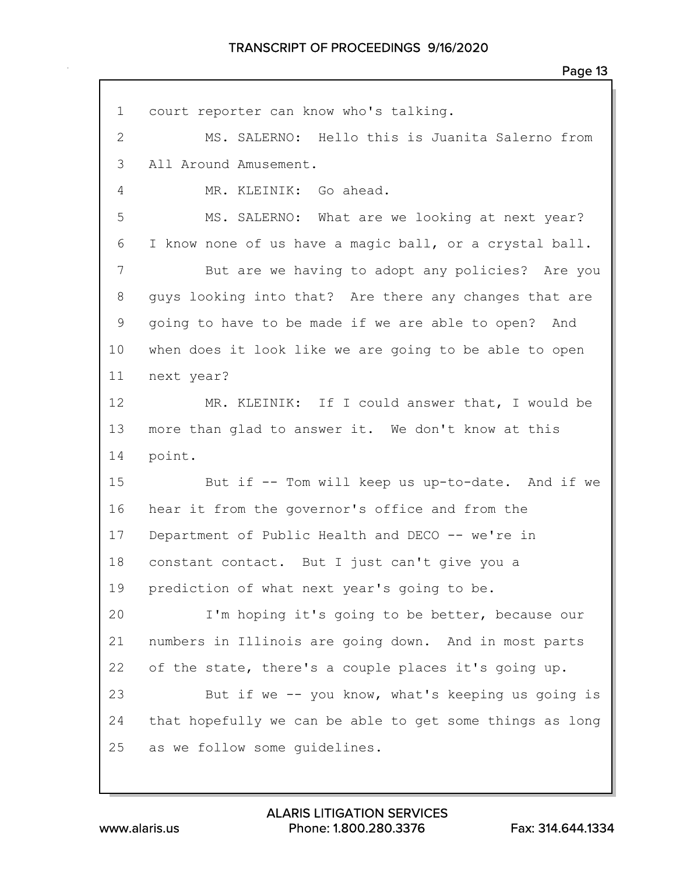| $\mathbf 1$ | court reporter can know who's talking.                   |
|-------------|----------------------------------------------------------|
| 2           | MS. SALERNO: Hello this is Juanita Salerno from          |
| 3           | All Around Amusement.                                    |
| 4           | MR. KLEINIK: Go ahead.                                   |
| 5           | MS. SALERNO: What are we looking at next year?           |
| 6           | I know none of us have a magic ball, or a crystal ball.  |
| 7           | But are we having to adopt any policies? Are you         |
| 8           | guys looking into that? Are there any changes that are   |
| 9           | going to have to be made if we are able to open? And     |
| 10          | when does it look like we are going to be able to open   |
| 11          | next year?                                               |
| 12          | MR. KLEINIK: If I could answer that, I would be          |
| 13          | more than glad to answer it. We don't know at this       |
| 14          | point.                                                   |
| 15          | But if -- Tom will keep us up-to-date. And if we         |
| 16          | hear it from the governor's office and from the          |
| 17          | Department of Public Health and DECO -- we're in         |
| 18          | constant contact. But I just can't give you a            |
| 19          | prediction of what next year's going to be.              |
| 20          | I'm hoping it's going to be better, because our          |
| 21          | numbers in Illinois are going down. And in most parts    |
| 22          | of the state, there's a couple places it's going up.     |
| 23          | But if we -- you know, what's keeping us going is        |
| 24          | that hopefully we can be able to get some things as long |
| 25          | as we follow some quidelines.                            |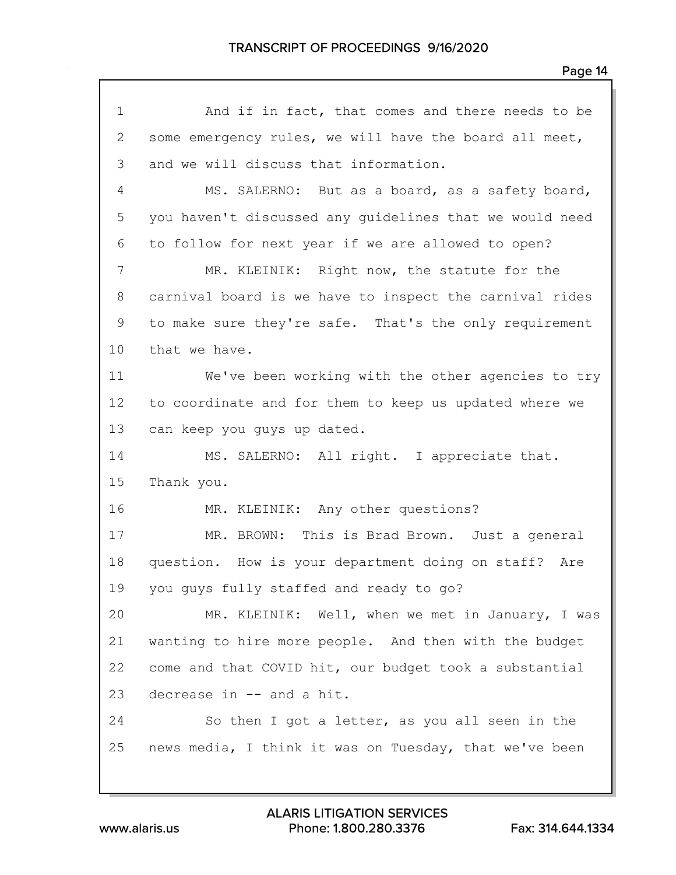| $\mathbf 1$    | And if in fact, that comes and there needs to be        |
|----------------|---------------------------------------------------------|
| $\overline{2}$ | some emergency rules, we will have the board all meet,  |
| 3              | and we will discuss that information.                   |
| $\overline{4}$ | MS. SALERNO: But as a board, as a safety board,         |
| 5              | you haven't discussed any quidelines that we would need |
| 6              | to follow for next year if we are allowed to open?      |
| $\overline{7}$ | MR. KLEINIK: Right now, the statute for the             |
| 8              | carnival board is we have to inspect the carnival rides |
| 9              | to make sure they're safe. That's the only requirement  |
| 10             | that we have.                                           |
| 11             | We've been working with the other agencies to try       |
| 12             | to coordinate and for them to keep us updated where we  |
| 13             | can keep you guys up dated.                             |
| 14             | MS. SALERNO: All right. I appreciate that.              |
| 15             | Thank you.                                              |
| 16             | MR. KLEINIK: Any other questions?                       |
| 17             | MR. BROWN: This is Brad Brown. Just a general           |
| 18             | question. How is your department doing on staff? Are    |
| 19             | you guys fully staffed and ready to go?                 |
| 20             | MR. KLEINIK: Well, when we met in January, I was        |
| 21             | wanting to hire more people. And then with the budget   |
| 22             | come and that COVID hit, our budget took a substantial  |
| 23             | decrease in -- and a hit.                               |
| 24             | So then I got a letter, as you all seen in the          |
| 25             | news media, I think it was on Tuesday, that we've been  |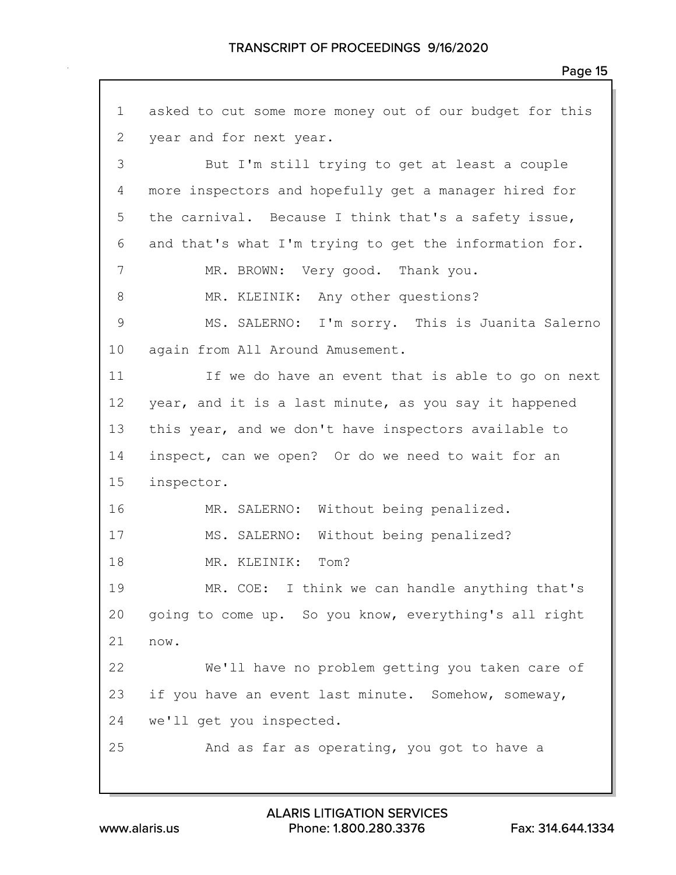asked to cut some more money out of our budget for this year and for next year. But I'm still trying to get at least a couple more inspectors and hopefully get a manager hired for the carnival. Because I think that's a safety issue, and that's what I'm trying to get the information for. 7 MR. BROWN: Very good. Thank you. 8 MR. KLEINIK: Any other questions? MS. SALERNO: I'm sorry. This is Juanita Salerno again from All Around Amusement. If we do have an event that is able to go on next year, and it is a last minute, as you say it happened this year, and we don't have inspectors available to inspect, can we open? Or do we need to wait for an inspector. MR. SALERNO: Without being penalized. MS. SALERNO: Without being penalized? 18 MR. KLEINIK: Tom? MR. COE: I think we can handle anything that's going to come up. So you know, everything's all right now. We'll have no problem getting you taken care of if you have an event last minute. Somehow, someway, we'll get you inspected. And as far as operating, you got to have a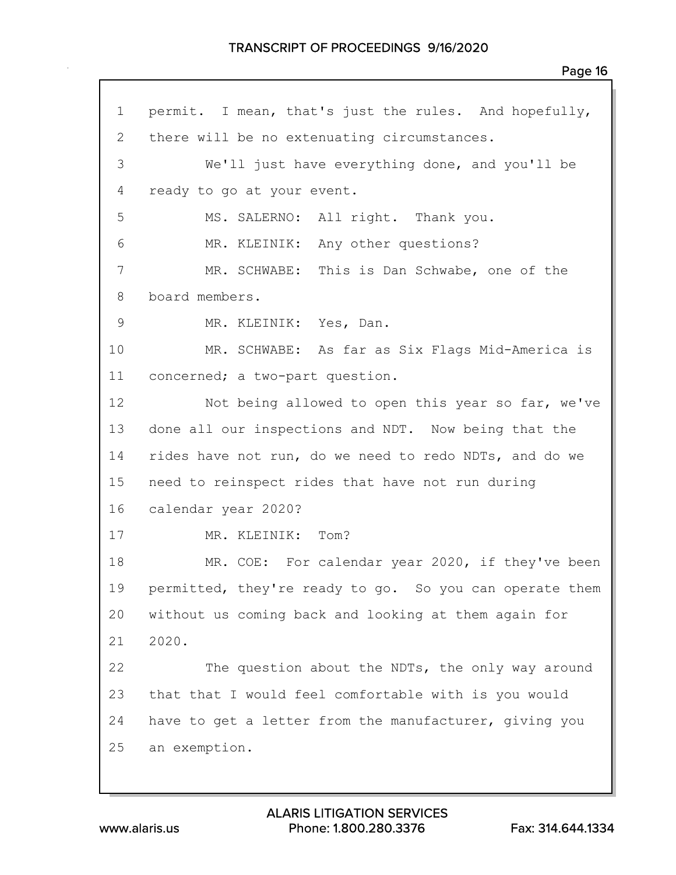## TRANSCRIPT OF PROCEEDINGS 9/16/2020

 permit. I mean, that's just the rules. And hopefully, 2 there will be no extenuating circumstances. We'll just have everything done, and you'll be ready to go at your event. MS. SALERNO: All right. Thank you. MR. KLEINIK: Any other questions? MR. SCHWABE: This is Dan Schwabe, one of the board members. MR. KLEINIK: Yes, Dan. MR. SCHWABE: As far as Six Flags Mid-America is concerned; a two-part question. 12 Not being allowed to open this year so far, we've done all our inspections and NDT. Now being that the rides have not run, do we need to redo NDTs, and do we need to reinspect rides that have not run during calendar year 2020? 17 MR. KLEINIK: Tom? MR. COE: For calendar year 2020, if they've been permitted, they're ready to go. So you can operate them without us coming back and looking at them again for 2020. The question about the NDTs, the only way around that that I would feel comfortable with is you would have to get a letter from the manufacturer, giving you an exemption.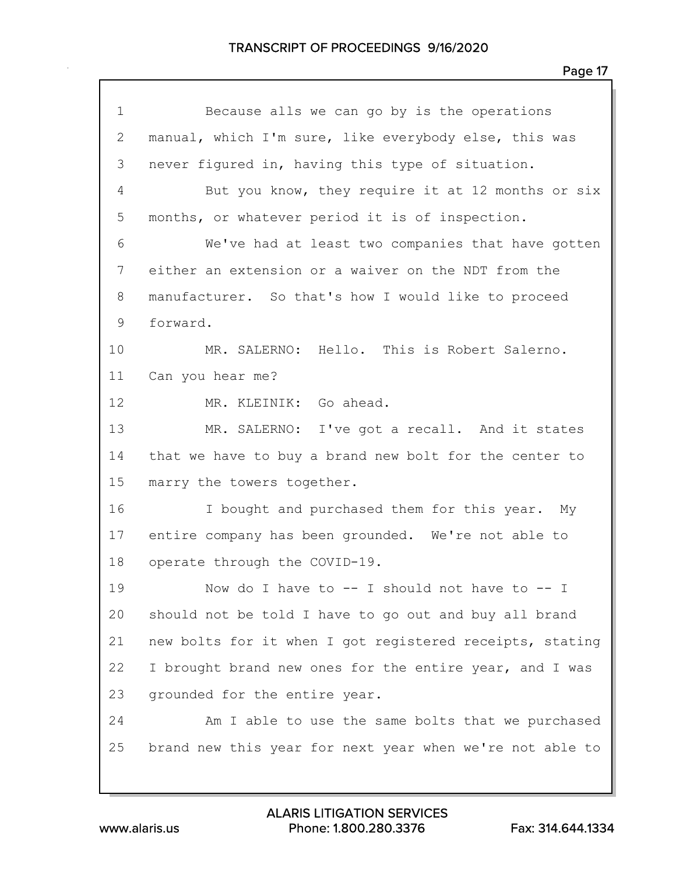| $\mathbf 1$     | Because alls we can go by is the operations              |
|-----------------|----------------------------------------------------------|
| 2               | manual, which I'm sure, like everybody else, this was    |
| 3               | never figured in, having this type of situation.         |
| $\overline{4}$  | But you know, they require it at 12 months or six        |
| 5               | months, or whatever period it is of inspection.          |
| 6               | We've had at least two companies that have gotten        |
| $7\phantom{.0}$ | either an extension or a waiver on the NDT from the      |
| 8               | manufacturer. So that's how I would like to proceed      |
| 9               | forward.                                                 |
| 10              | MR. SALERNO: Hello. This is Robert Salerno.              |
| 11              | Can you hear me?                                         |
| 12              | MR. KLEINIK: Go ahead.                                   |
| 13              | MR. SALERNO: I've got a recall. And it states            |
| 14              | that we have to buy a brand new bolt for the center to   |
| 15              | marry the towers together.                               |
| 16              | I bought and purchased them for this year. My            |
| 17              | entire company has been grounded. We're not able to      |
| 18              | operate through the COVID-19.                            |
| 19              | Now do I have to $--$ I should not have to $--$ I        |
| 20              | should not be told I have to go out and buy all brand    |
| 21              | new bolts for it when I got registered receipts, stating |
| 22              | I brought brand new ones for the entire year, and I was  |
| 23              | grounded for the entire year.                            |
| 24              | Am I able to use the same bolts that we purchased        |
| 25              | brand new this year for next year when we're not able to |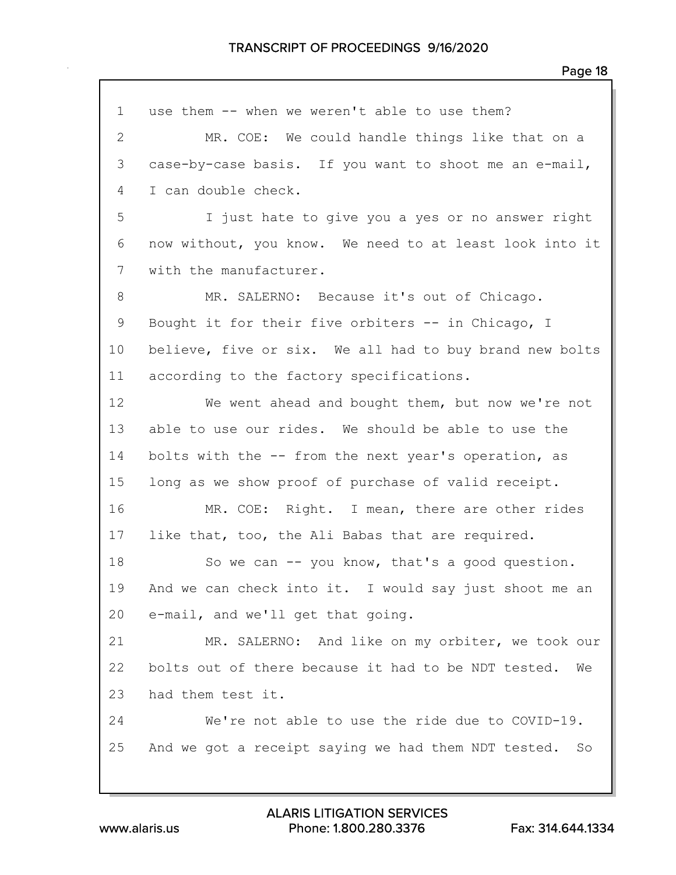| $\mathbf 1$     | use them -- when we weren't able to use them?             |
|-----------------|-----------------------------------------------------------|
| $\mathbf{2}$    | MR. COE: We could handle things like that on a            |
| 3               | case-by-case basis. If you want to shoot me an e-mail,    |
| 4               | I can double check.                                       |
| 5               | I just hate to give you a yes or no answer right          |
| 6               | now without, you know. We need to at least look into it   |
| 7               | with the manufacturer.                                    |
| 8               | MR. SALERNO: Because it's out of Chicago.                 |
| 9               | Bought it for their five orbiters -- in Chicago, I        |
| 10 <sub>o</sub> | believe, five or six. We all had to buy brand new bolts   |
| 11              | according to the factory specifications.                  |
| 12              | We went ahead and bought them, but now we're not          |
| 13              | able to use our rides. We should be able to use the       |
| 14              | bolts with the -- from the next year's operation, as      |
| 15              | long as we show proof of purchase of valid receipt.       |
| 16              | MR. COE: Right. I mean, there are other rides             |
| 17              | like that, too, the Ali Babas that are required.          |
| 18              | So we can -- you know, that's a good question.            |
| 19              | And we can check into it. I would say just shoot me an    |
| 20              | e-mail, and we'll get that going.                         |
| 21              | MR. SALERNO: And like on my orbiter, we took our          |
| 22              | bolts out of there because it had to be NDT tested.<br>We |
| 23              | had them test it.                                         |
| 24              | We're not able to use the ride due to COVID-19.           |
| 25              | And we got a receipt saying we had them NDT tested.<br>SO |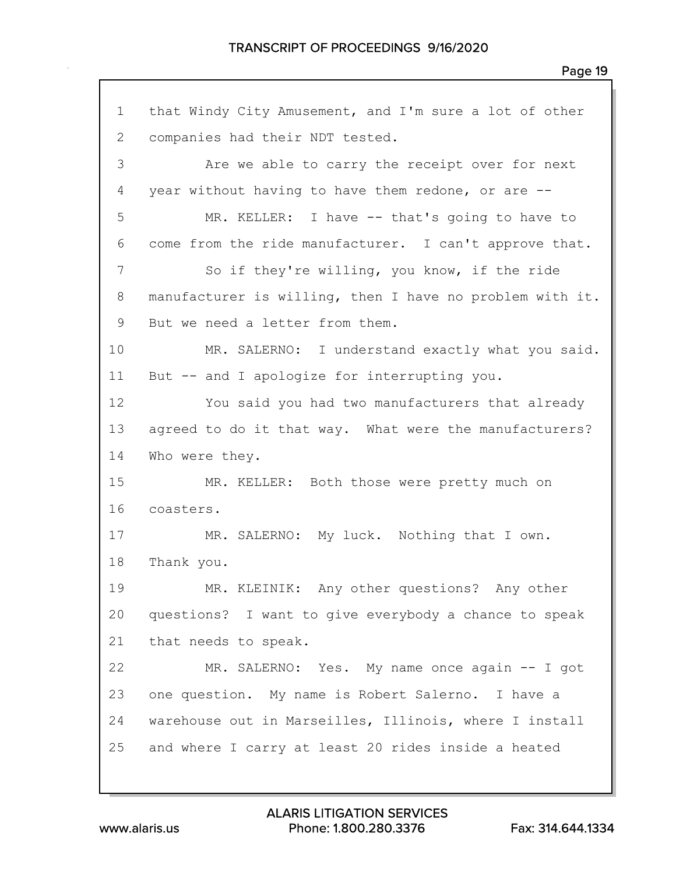that Windy City Amusement, and I'm sure a lot of other companies had their NDT tested. Are we able to carry the receipt over for next year without having to have them redone, or are -- MR. KELLER: I have -- that's going to have to come from the ride manufacturer. I can't approve that. So if they're willing, you know, if the ride manufacturer is willing, then I have no problem with it. But we need a letter from them. MR. SALERNO: I understand exactly what you said. But -- and I apologize for interrupting you. You said you had two manufacturers that already agreed to do it that way. What were the manufacturers? Who were they. MR. KELLER: Both those were pretty much on coasters. MR. SALERNO: My luck. Nothing that I own. Thank you. MR. KLEINIK: Any other questions? Any other questions? I want to give everybody a chance to speak that needs to speak. MR. SALERNO: Yes. My name once again -- I got one question. My name is Robert Salerno. I have a warehouse out in Marseilles, Illinois, where I install and where I carry at least 20 rides inside a heated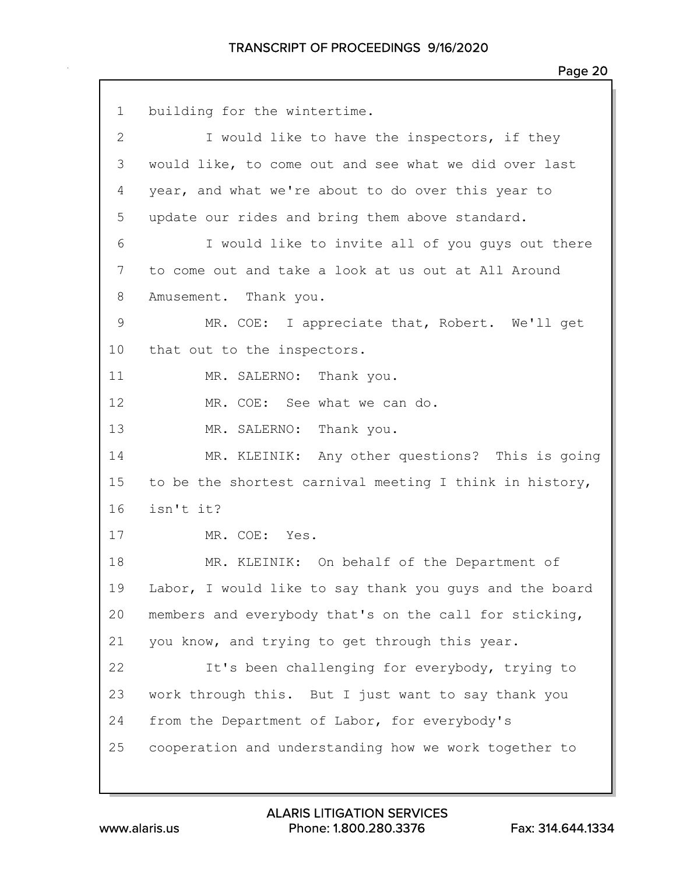| $\mathbf 1$  | building for the wintertime.                            |
|--------------|---------------------------------------------------------|
| $\mathbf{2}$ | I would like to have the inspectors, if they            |
| 3            | would like, to come out and see what we did over last   |
| 4            | year, and what we're about to do over this year to      |
| 5            | update our rides and bring them above standard.         |
| 6            | I would like to invite all of you guys out there        |
| 7            | to come out and take a look at us out at All Around     |
| 8            | Amusement. Thank you.                                   |
| $\mathsf 9$  | MR. COE: I appreciate that, Robert. We'll get           |
| 10           | that out to the inspectors.                             |
| 11           | MR. SALERNO: Thank you.                                 |
| 12           | MR. COE: See what we can do.                            |
| 13           | MR. SALERNO: Thank you.                                 |
| 14           | MR. KLEINIK: Any other questions? This is going         |
| 15           | to be the shortest carnival meeting I think in history, |
| 16           | isn't it?                                               |
| 17           | MR. COE: Yes.                                           |
| 18           | MR. KLEINIK: On behalf of the Department of             |
| 19           | Labor, I would like to say thank you guys and the board |
| 20           | members and everybody that's on the call for sticking,  |
| 21           | you know, and trying to get through this year.          |
| 22           | It's been challenging for everybody, trying to          |
| 23           | work through this. But I just want to say thank you     |
| 24           | from the Department of Labor, for everybody's           |
| 25           | cooperation and understanding how we work together to   |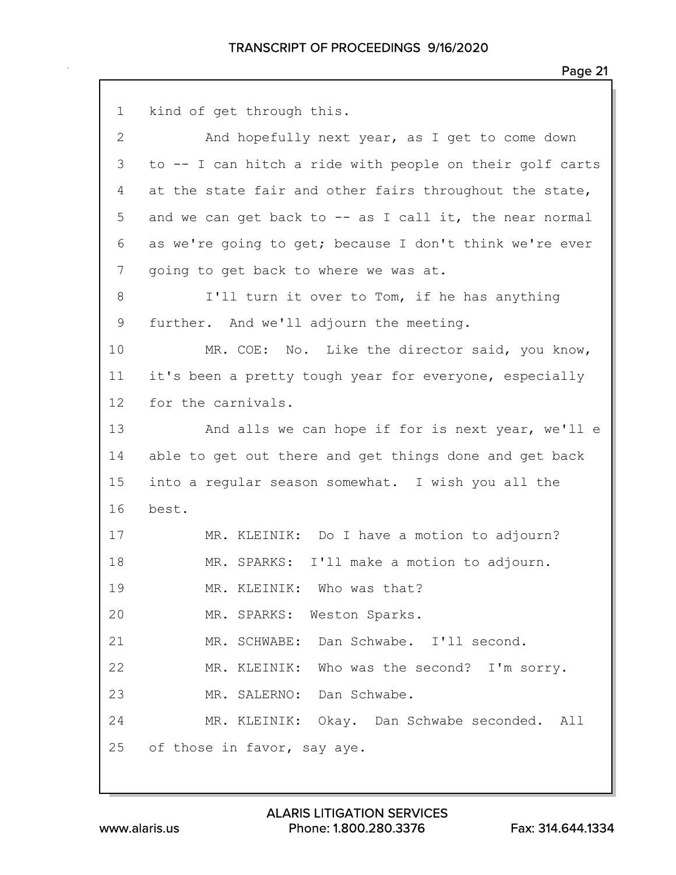```
1 kind of get through this.
 2 And hopefully next year, as I get to come down
 3 to -- I can hitch a ride with people on their golf carts
 4 at the state fair and other fairs throughout the state,
 5 and we can get back to -- as I call it, the near normal
 6 as we're going to get; because I don't think we're ever
 7 going to get back to where we was at.
8 I'll turn it over to Tom, if he has anything
9 further. And we'll adjourn the meeting.
10 MR. COE: No. Like the director said, you know,
11 it's been a pretty tough year for everyone, especially
12 for the carnivals.
13 And alls we can hope if for is next year, we'll e
14 able to get out there and get things done and get back
15 into a regular season somewhat. I wish you all the
16 best.
17 MR. KLEINIK: Do I have a motion to adjourn?
18 MR. SPARKS: I'll make a motion to adjourn.
19 MR. KLEINIK: Who was that?
20 MR. SPARKS: Weston Sparks.
21 MR. SCHWABE: Dan Schwabe. I'll second.
22 MR. KLEINIK: Who was the second? I'm sorry.
23 MR. SALERNO: Dan Schwabe.
24 MR. KLEINIK: Okay. Dan Schwabe seconded. All
25 of those in favor, say aye.
```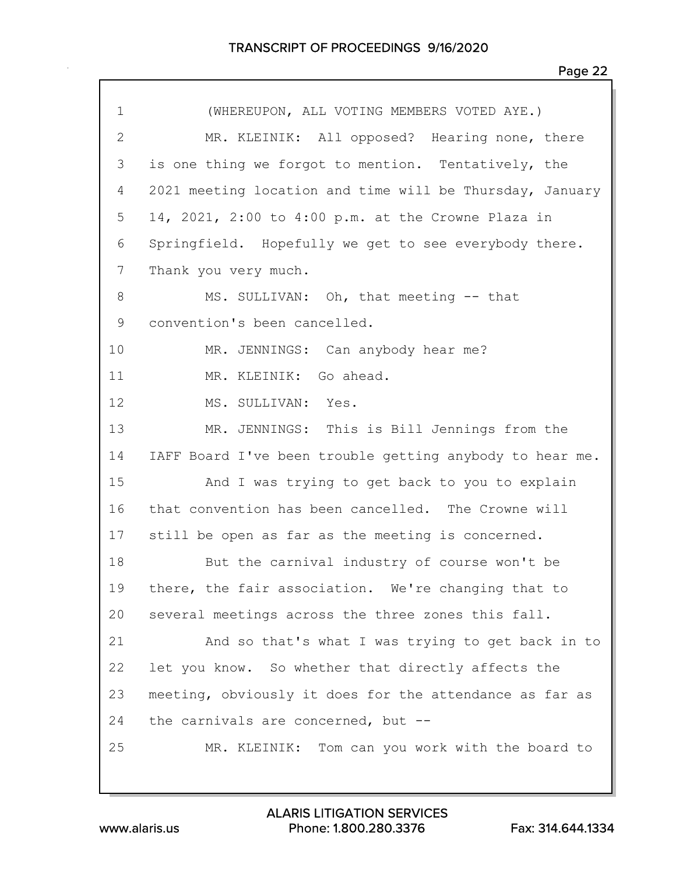| $\mathbf 1$    | (WHEREUPON, ALL VOTING MEMBERS VOTED AYE.)               |
|----------------|----------------------------------------------------------|
| $\mathbf{2}$   | MR. KLEINIK: All opposed? Hearing none, there            |
| 3              | is one thing we forgot to mention. Tentatively, the      |
| 4              | 2021 meeting location and time will be Thursday, January |
| 5              | 14, 2021, 2:00 to 4:00 p.m. at the Crowne Plaza in       |
| 6              | Springfield. Hopefully we get to see everybody there.    |
| $7\phantom{.}$ | Thank you very much.                                     |
| 8              | MS. SULLIVAN: Oh, that meeting -- that                   |
| 9              | convention's been cancelled.                             |
| 10             | MR. JENNINGS: Can anybody hear me?                       |
| 11             | MR. KLEINIK: Go ahead.                                   |
| 12             | MS. SULLIVAN:<br>Yes.                                    |
| 13             | MR. JENNINGS: This is Bill Jennings from the             |
| 14             | IAFF Board I've been trouble getting anybody to hear me. |
| 15             | And I was trying to get back to you to explain           |
| 16             | that convention has been cancelled. The Crowne will      |
| 17             | still be open as far as the meeting is concerned.        |
| 18             | But the carnival industry of course won't be             |
| 19             | there, the fair association. We're changing that to      |
| 20             | several meetings across the three zones this fall.       |
| 21             | And so that's what I was trying to get back in to        |
| 22             | let you know. So whether that directly affects the       |
| 23             | meeting, obviously it does for the attendance as far as  |
| 24             | the carnivals are concerned, but $-$ -                   |
| 25             | MR. KLEINIK: Tom can you work with the board to          |
|                |                                                          |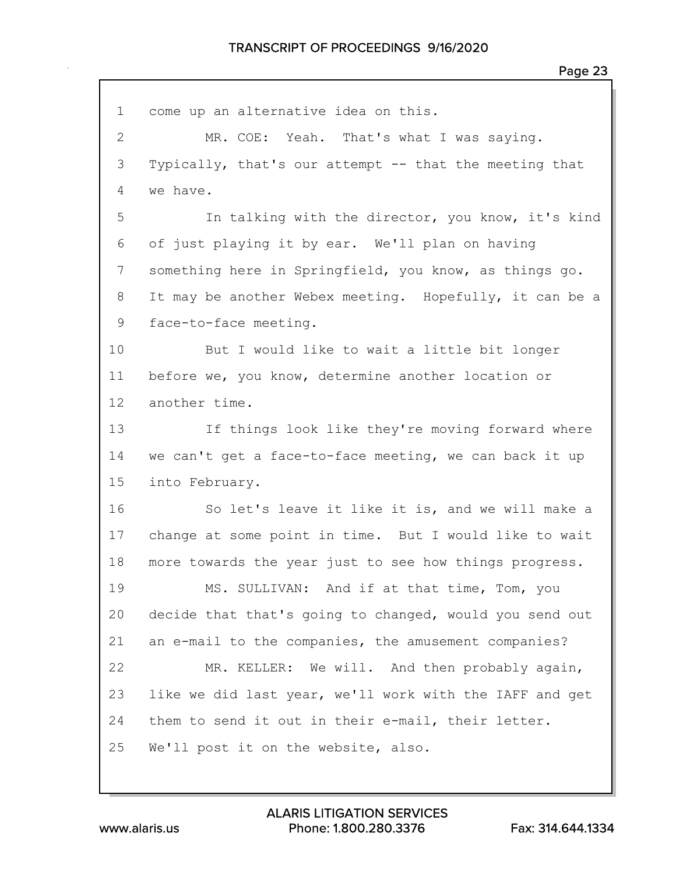| $\mathbf 1$    | come up an alternative idea on this.                    |
|----------------|---------------------------------------------------------|
| $\overline{2}$ | MR. COE: Yeah. That's what I was saying.                |
| 3              | Typically, that's our attempt -- that the meeting that  |
| 4              | we have.                                                |
| 5              | In talking with the director, you know, it's kind       |
| 6              | of just playing it by ear. We'll plan on having         |
| 7              | something here in Springfield, you know, as things go.  |
| $8\,$          | It may be another Webex meeting. Hopefully, it can be a |
| 9              | face-to-face meeting.                                   |
| 10             | But I would like to wait a little bit longer            |
| 11             | before we, you know, determine another location or      |
| 12             | another time.                                           |
| 13             | If things look like they're moving forward where        |
| 14             | we can't get a face-to-face meeting, we can back it up  |
| 15             | into February.                                          |
| 16             | So let's leave it like it is, and we will make a        |
| 17             | change at some point in time. But I would like to wait  |
| 18             | more towards the year just to see how things progress.  |
| 19             | MS. SULLIVAN: And if at that time, Tom, you             |
| 20             | decide that that's going to changed, would you send out |
| 21             | an e-mail to the companies, the amusement companies?    |
| 22             | MR. KELLER: We will. And then probably again,           |
| 23             | like we did last year, we'll work with the IAFF and get |
| 24             | them to send it out in their e-mail, their letter.      |
| 25             | We'll post it on the website, also.                     |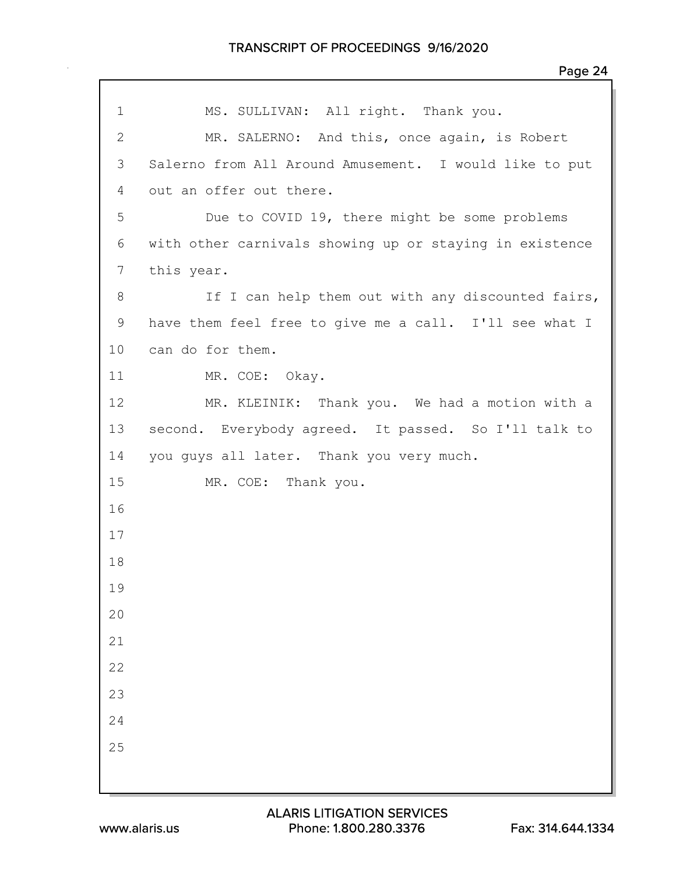| $\mathbf 1$  | MS. SULLIVAN: All right. Thank you.                     |
|--------------|---------------------------------------------------------|
| $\mathbf{2}$ |                                                         |
|              | MR. SALERNO: And this, once again, is Robert            |
| 3            | Salerno from All Around Amusement. I would like to put  |
| 4            | out an offer out there.                                 |
| 5            | Due to COVID 19, there might be some problems           |
| 6            | with other carnivals showing up or staying in existence |
| 7            | this year.                                              |
| 8            | If I can help them out with any discounted fairs,       |
| 9            | have them feel free to give me a call. I'll see what I  |
| 10           | can do for them.                                        |
| 11           | MR. COE: Okay.                                          |
| 12           | MR. KLEINIK: Thank you. We had a motion with a          |
| 13           | second. Everybody agreed. It passed. So I'll talk to    |
| 14           | you guys all later. Thank you very much.                |
| 15           | MR. COE: Thank you.                                     |
| 16           |                                                         |
| 17           |                                                         |
| 18           |                                                         |
| 19           |                                                         |
| 20           |                                                         |
| 21           |                                                         |
| 22           |                                                         |
| 23           |                                                         |
| 24           |                                                         |
| 25           |                                                         |
|              |                                                         |
|              |                                                         |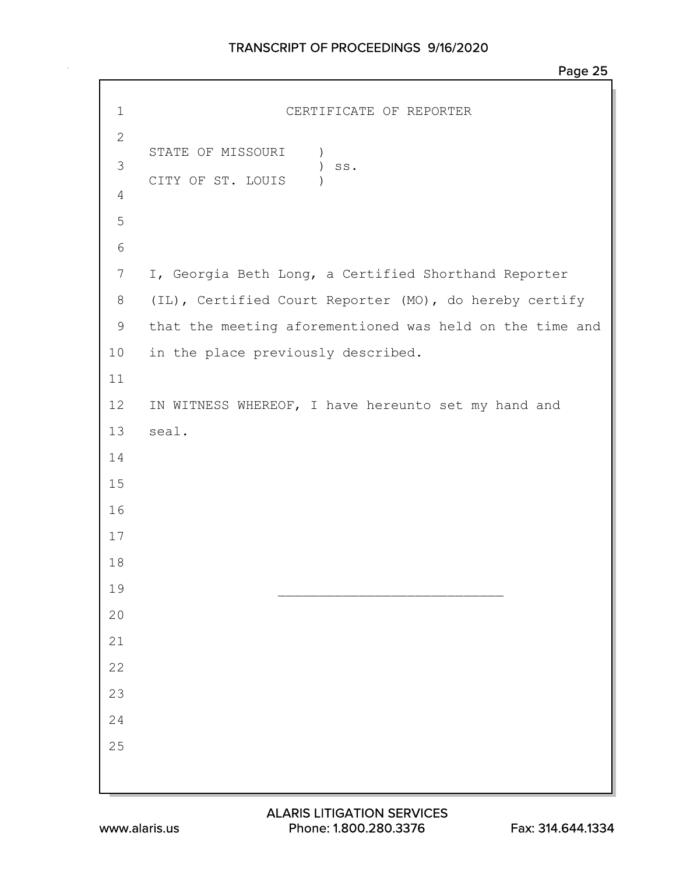```
Page 25
```

```
1 CERTIFICATE OF REPORTER
2
   STATE OF MISSOURI )
3 ) ss.
   CITY OF ST. LOUIS )
4
5
6
7 I, Georgia Beth Long, a Certified Shorthand Reporter
8 (IL), Certified Court Reporter (MO), do hereby certify
9 that the meeting aforementioned was held on the time and
10 in the place previously described.
11
12 IN WITNESS WHEREOF, I have hereunto set my hand and
13 seal.
14
15
16
17
18
1920
21
22
23
24
25
```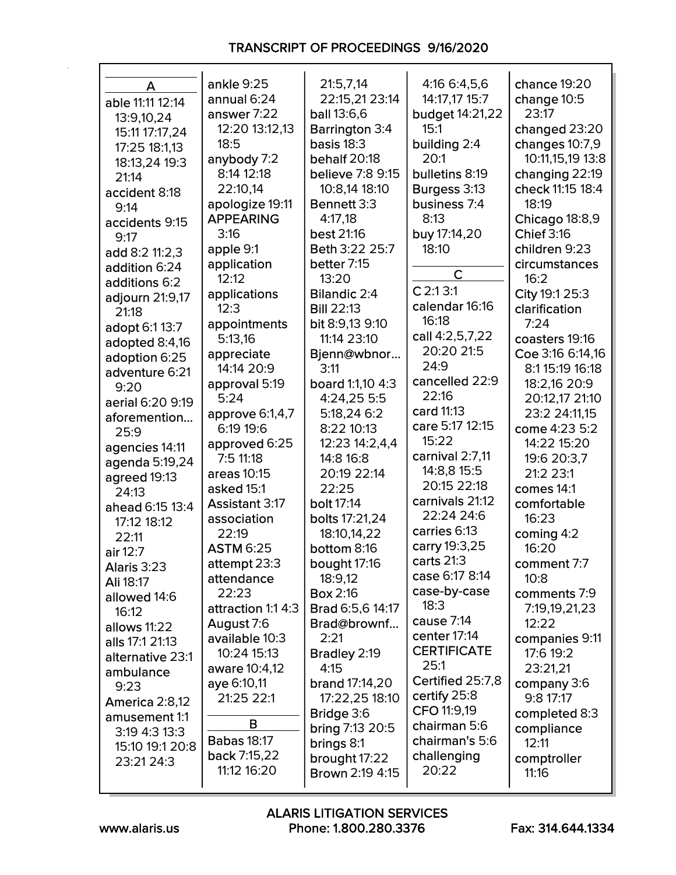| A                         | ankle 9:25                | 21:5,7,14                | 4:16 6:4,5,6            | chance 19:20             |
|---------------------------|---------------------------|--------------------------|-------------------------|--------------------------|
| able 11:11 12:14          | annual 6:24               | 22:15,21 23:14           | 14:17,17 15:7           | change 10:5              |
| 13:9,10,24                | answer 7:22               | <b>ball</b> 13:6,6       | budget 14:21,22         | 23:17                    |
| 15:11 17:17,24            | 12:20 13:12,13            | <b>Barrington 3:4</b>    | 15:1                    | changed 23:20            |
| 17:25 18:1,13             | 18:5                      | basis $18:3$             | building 2:4            | changes 10:7,9           |
| 18:13,24 19:3             | anybody 7:2               | behalf 20:18             | 20:1                    | 10:11,15,19 13:8         |
| 21:14                     | 8:14 12:18                | believe 7:8 9:15         | bulletins 8:19          | changing 22:19           |
| accident 8:18             | 22:10,14                  | 10:8,14 18:10            | Burgess 3:13            | check 11:15 18:4         |
| 9:14                      | apologize 19:11           | Bennett 3:3              | business 7:4            | 18:19                    |
| accidents 9:15            | <b>APPEARING</b>          | 4:17,18                  | 8:13                    | Chicago 18:8,9           |
| 9:17                      | 3:16                      | best 21:16               | buy 17:14,20            | <b>Chief 3:16</b>        |
| add 8:2 11:2,3            | apple 9:1                 | Beth 3:22 25:7           | 18:10                   | children 9:23            |
| addition 6:24             | application               | better 7:15              |                         | circumstances            |
| additions 6:2             | 12:12                     | 13:20                    | $\mathsf{C}$            | 16:2                     |
| adjourn 21:9,17           | applications              | <b>Bilandic 2:4</b>      | $C$ 2:1 3:1             | City 19:1 25:3           |
| 21:18                     | 12:3                      | <b>Bill 22:13</b>        | calendar 16:16          | clarification            |
| adopt 6:1 13:7            | appointments              | bit 8:9,13 9:10          | 16:18                   | 7:24                     |
| adopted 8:4,16            | 5:13,16                   | 11:14 23:10              | call 4:2,5,7,22         | coasters 19:16           |
| adoption 6:25             | appreciate                | Bjenn@wbnor              | 20:20 21:5              | Coe 3:16 6:14,16         |
| adventure 6:21            | 14:14 20:9                | 3:11                     | 24:9                    | 8:1 15:19 16:18          |
| 9:20                      | approval 5:19             | board 1:1,10 4:3         | cancelled 22:9<br>22:16 | 18:2,16 20:9             |
| aerial 6:20 9:19          | 5:24                      | 4:24,25 5:5              | card 11:13              | 20:12,17 21:10           |
| aforemention              | approve 6:1,4,7           | 5:18,24 6:2              | care 5:17 12:15         | 23:2 24:11,15            |
| 25:9                      | 6:19 19:6                 | 8:22 10:13               | 15:22                   | come 4:23 5:2            |
| agencies 14:11            | approved 6:25             | 12:23 14:2,4,4           | carnival 2:7,11         | 14:22 15:20              |
| agenda 5:19,24            | 7:5 11:18                 | 14:8 16:8<br>20:19 22:14 | 14:8,8 15:5             | 19:6 20:3,7<br>21:2 23:1 |
| agreed 19:13              | areas 10:15<br>asked 15:1 | 22:25                    | 20:15 22:18             | comes 14:1               |
| 24:13                     | <b>Assistant 3:17</b>     | bolt 17:14               | carnivals 21:12         | comfortable              |
| ahead 6:15 13:4           | association               | bolts 17:21,24           | 22:24 24:6              | 16:23                    |
| 17:12 18:12               | 22:19                     | 18:10,14,22              | carries 6:13            | coming $4:2$             |
| 22:11                     | <b>ASTM 6:25</b>          | bottom 8:16              | carry 19:3,25           | 16:20                    |
| air 12:7                  | attempt 23:3              | bought 17:16             | carts $21:3$            | comment 7:7              |
| Alaris 3:23               | attendance                | 18:9,12                  | case 6:17 8:14          | 10:8                     |
| Ali 18:17<br>allowed 14:6 | 22:23                     | <b>Box 2:16</b>          | case-by-case            | comments 7:9             |
| 16:12                     | attraction 1:1 4:3        | Brad 6:5,6 14:17         | 18:3                    | 7:19,19,21,23            |
| allows 11:22              | August 7:6                | Brad@brownf              | cause 7:14              | 12:22                    |
| alls 17:1 21:13           | available 10:3            | 2:21                     | center 17:14            | companies 9:11           |
| alternative 23:1          | 10:24 15:13               | Bradley 2:19             | <b>CERTIFICATE</b>      | 17:6 19:2                |
| ambulance                 | aware 10:4,12             | 4:15                     | 25:1                    | 23:21,21                 |
| 9:23                      | aye 6:10,11               | <b>brand</b> 17:14,20    | Certified 25:7,8        | company 3:6              |
| America 2:8,12            | 21:25 22:1                | 17:22,25 18:10           | certify 25:8            | 9:817:17                 |
| amusement 1:1             |                           | Bridge 3:6               | CFO 11:9,19             | completed 8:3            |
| 3:19 4:3 13:3             | В                         | <b>bring 7:13 20:5</b>   | chairman 5:6            | compliance               |
| 15:10 19:1 20:8           | <b>Babas 18:17</b>        | brings 8:1               | chairman's 5:6          | 12:11                    |
| 23:21 24:3                | back 7:15,22              | brought 17:22            | challenging             | comptroller              |
|                           | 11:12 16:20               | <b>Brown 2:19 4:15</b>   | 20:22                   | 11:16                    |
|                           |                           |                          |                         |                          |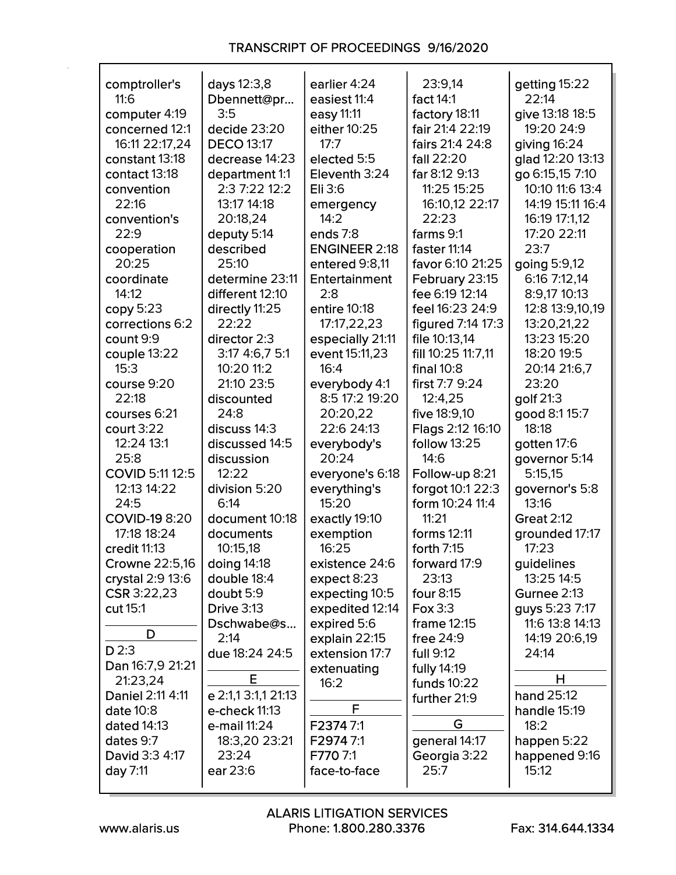| comptroller's           | days 12:3,8         | earlier 4:24                 | 23:9,14                      | getting 15:22                     |
|-------------------------|---------------------|------------------------------|------------------------------|-----------------------------------|
| 11:6                    | Dbennett@pr         | easiest 11:4                 | fact 14:1                    | 22:14                             |
| computer 4:19           | 3:5                 | easy 11:11                   | factory 18:11                | give 13:18 18:5                   |
| concerned 12:1          | decide 23:20        | either 10:25                 | fair 21:4 22:19              | 19:20 24:9                        |
| 16:11 22:17,24          | <b>DECO 13:17</b>   | 17:7                         | fairs 21:4 24:8              | giving $16:24$                    |
| constant 13:18          | decrease 14:23      | elected 5:5                  | fall 22:20                   | glad 12:20 13:13                  |
| contact 13:18           | department 1:1      | Eleventh 3:24                | far 8:12 9:13                | go 6:15,15 7:10                   |
| convention              | 2:3 7:22 12:2       | Eli 3:6                      | 11:25 15:25                  | 10:10 11:6 13:4                   |
| 22:16                   | 13:17 14:18         | emergency                    | 16:10,12 22:17               | 14:19 15:11 16:4                  |
| convention's            | 20:18,24            | 14:2                         | 22:23                        | 16:19 17:1.12                     |
| 22:9                    | deputy 5:14         | ends 7:8                     | farms 9:1                    | 17:20 22:11                       |
| cooperation             | described           | <b>ENGINEER 2:18</b>         | faster 11:14                 | 23:7                              |
| 20:25                   | 25:10               | entered 9:8,11               | favor 6:10 21:25             | going 5:9,12                      |
| coordinate              | determine 23:11     | Entertainment                | February 23:15               | 6:16 7:12,14                      |
| 14:12                   | different 12:10     | 2:8                          | fee 6:19 12:14               | 8:9,17 10:13                      |
| copy 5:23               | directly 11:25      | entire 10:18                 | feel 16:23 24:9              | 12:8 13:9,10,19                   |
| corrections 6:2         | 22:22               | 17:17,22,23                  | figured 7:14 17:3            | 13:20,21,22                       |
| count 9:9               | director 2:3        | especially 21:11             | file 10:13,14                | 13:23 15:20                       |
| couple 13:22            | 3:17 4:6,7 5:1      | event 15:11,23               | fill 10:25 11:7,11           | 18:20 19:5                        |
| 15:3                    | 10:20 11:2          | 16:4                         | final $10:8$                 | 20:14 21:6,7                      |
| course 9:20             | 21:10 23:5          | everybody 4:1                | first 7:7 9:24               | 23:20                             |
| 22:18                   | discounted          | 8:5 17:2 19:20               | 12:4,25                      | golf 21:3                         |
| courses 6:21            | 24:8                | 20:20,22                     | five 18:9,10                 | good 8:1 15:7                     |
| court 3:22              | discuss 14:3        | 22:6 24:13                   | Flags 2:12 16:10             | 18:18                             |
| 12:24 13:1              | discussed 14:5      | everybody's                  | <b>follow 13:25</b>          | gotten 17:6                       |
| 25:8                    | discussion          | 20:24                        | 14:6                         | governor 5:14                     |
| COVID 5:11 12:5         | 12:22               | everyone's 6:18              | Follow-up 8:21               | 5:15,15                           |
| 12:13 14:22             | division 5:20       | everything's                 | forgot 10:1 22:3             | governor's 5:8                    |
| 24:5                    | 6:14                | 15:20                        | form 10:24 11:4              | 13:16                             |
| <b>COVID-19 8:20</b>    | document 10:18      | exactly 19:10                | 11:21                        | <b>Great 2:12</b>                 |
| 17:18 18:24             | documents           | exemption                    | forms 12:11                  | grounded 17:17                    |
| credit 11:13            | 10:15,18            | 16:25                        | forth 7:15                   | 17:23                             |
| Crowne 22:5,16          | doing 14:18         | existence 24:6               | forward 17:9                 | guidelines                        |
| crystal 2:9 13:6        | double 18:4         | expect 8:23                  | 23:13                        | 13:25 14:5                        |
| CSR 3:22,23<br>cut 15:1 | doubt 5:9           | expecting 10:5               | four 8:15<br>Fox 3:3         | Gurnee 2:13                       |
|                         | <b>Drive 3:13</b>   | expedited 12:14              |                              | guys 5:23 7:17<br>11:6 13:8 14:13 |
| D                       | Dschwabe@s<br>2:14  | expired 5:6<br>explain 22:15 | frame $12:15$<br>free $24:9$ | 14:19 20:6,19                     |
| D2:3                    | due 18:24 24:5      | extension 17:7               | full 9:12                    | 24:14                             |
| Dan 16:7,9 21:21        |                     | extenuating                  | fully 14:19                  |                                   |
| 21:23,24                | E                   | 16:2                         | funds $10:22$                | н                                 |
| Daniel 2:11 4:11        | e 2:1,1 3:1,1 21:13 |                              | further 21:9                 | hand 25:12                        |
| date 10:8               | e-check 11:13       | F                            |                              | handle 15:19                      |
| dated 14:13             | e-mail 11:24        | F23747:1                     | G                            | 18:2                              |
| dates 9:7               | 18:3,20 23:21       | F29747:1                     | general 14:17                | happen 5:22                       |
| David 3:3 4:17          | 23:24               | F770 7:1                     | Georgia 3:22                 | happened 9:16                     |
| day 7:11                | ear 23:6            | face-to-face                 | 25:7                         | 15:12                             |
|                         |                     |                              |                              |                                   |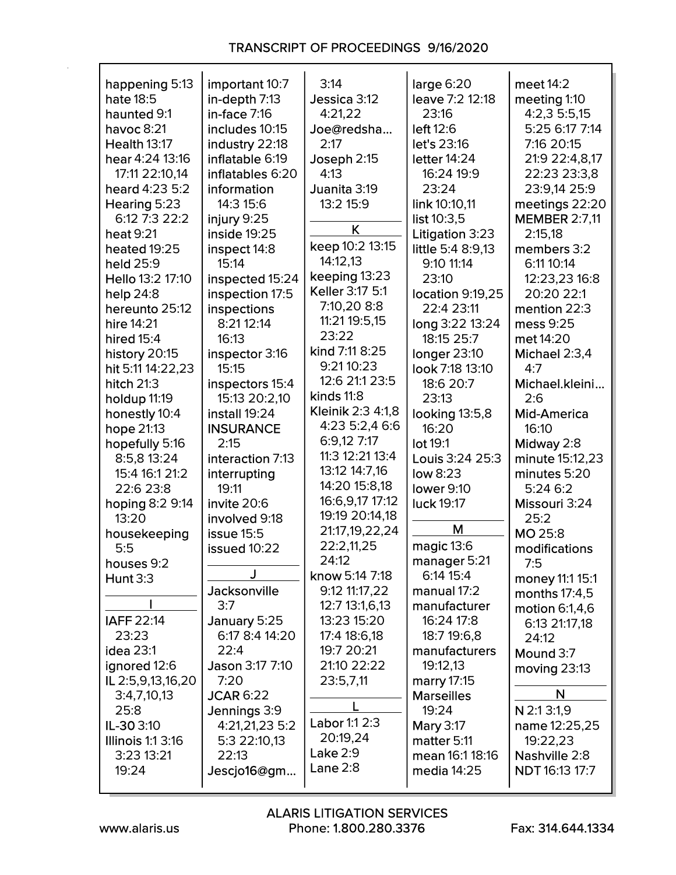| happening 5:13           | important 10:7    | 3:14              | large 6:20          | meet 14:2             |
|--------------------------|-------------------|-------------------|---------------------|-----------------------|
| hate 18:5                | in-depth $7:13$   | Jessica 3:12      | leave 7:2 12:18     | meeting 1:10          |
| haunted 9:1              | $in$ -face $7:16$ | 4:21,22           | 23:16               | 4:2,3 5:5,15          |
| havoc $8:21$             | includes 10:15    | Joe@redsha        | left 12:6           | 5:25 6:17 7:14        |
| <b>Health 13:17</b>      | industry 22:18    | 2:17              | let's 23:16         | 7:16 20:15            |
| hear 4:24 13:16          | inflatable 6:19   | Joseph 2:15       | letter 14:24        | 21:9 22:4,8,17        |
| 17:11 22:10,14           | inflatables 6:20  | 4:13              | 16:24 19:9          | 22:23 23:3,8          |
| heard 4:23 5:2           | information       | Juanita 3:19      | 23:24               | 23:9,14 25:9          |
| Hearing 5:23             | 14:3 15:6         | 13:2 15:9         | link 10:10,11       | meetings 22:20        |
| 6:12 7:3 22:2            | injury 9:25       |                   | list 10:3,5         | <b>MEMBER 2:7,11</b>  |
| heat 9:21                | inside 19:25      | K                 | Litigation 3:23     | 2:15,18               |
| heated 19:25             | inspect 14:8      | keep 10:2 13:15   | little 5:4 8:9,13   | members 3:2           |
| held 25:9                | 15:14             | 14:12,13          | 9:10 11:14          | 6:11 10:14            |
| Hello 13:2 17:10         | inspected 15:24   | keeping 13:23     | 23:10               | 12:23,23 16:8         |
| help $24:8$              | inspection 17:5   | Keller 3:17 5:1   | location 9:19,25    | 20:20 22:1            |
| hereunto 25:12           | inspections       | 7:10,20 8:8       | 22:4 23:11          | mention 22:3          |
| hire 14:21               | 8:21 12:14        | 11:21 19:5,15     | long 3:22 13:24     | mess 9:25             |
| hired 15:4               | 16:13             | 23:22             | 18:15 25:7          | met 14:20             |
| history 20:15            | inspector 3:16    | kind 7:11 8:25    | <b>longer 23:10</b> | Michael 2:3,4         |
| hit 5:11 14:22,23        | 15:15             | 9:21 10:23        | look 7:18 13:10     | 4:7                   |
| hitch $21:3$             | inspectors 15:4   | 12:6 21:1 23:5    | 18:6 20:7           | Michael.kleini        |
|                          | 15:13 20:2,10     | kinds 11:8        | 23:13               | 2:6                   |
| holdup 11:19             |                   | Kleinik 2:3 4:1,8 |                     |                       |
| honestly 10:4            | install 19:24     | 4:23 5:2,4 6:6    | looking 13:5,8      | <b>Mid-America</b>    |
| hope 21:13               | <b>INSURANCE</b>  | 6:9,127:17        | 16:20               | 16:10                 |
| hopefully 5:16           | 2:15              | 11:3 12:21 13:4   | lot 19:1            | Midway 2:8            |
| 8:5,8 13:24              | interaction 7:13  | 13:12 14:7,16     | Louis 3:24 25:3     | minute 15:12,23       |
| 15:4 16:1 21:2           | interrupting      |                   | low 8:23            | minutes 5:20          |
| 22:6 23:8                | 19:11             | 14:20 15:8,18     | lower 9:10          | 5:246:2               |
| hoping 8:2 9:14          | invite 20:6       | 16:6,9,17 17:12   | luck 19:17          | Missouri 3:24         |
| 13:20                    | involved 9:18     | 19:19 20:14,18    | М                   | 25:2                  |
| housekeeping             | issue 15:5        | 21:17,19,22,24    |                     | MO 25:8               |
| 5:5                      | issued 10:22      | 22:2,11,25        | magic 13:6          | modifications         |
| houses 9:2               |                   | 24:12             | manager 5:21        | 7:5                   |
| <b>Hunt 3:3</b>          | J                 | know 5:14 7:18    | 6:14 15:4           | money 11:1 15:1       |
|                          | Jacksonville      | 9:12 11:17,22     | manual 17:2         | months 17:4,5         |
|                          | 3:7               | 12:7 13:1,6,13    | manufacturer        | motion 6:1,4,6        |
| IAFF 22:14               | January 5:25      | 13:23 15:20       | 16:24 17:8          | 6:13 21:17,18         |
| 23:23                    | 6:17 8:4 14:20    | 17:4 18:6,18      | 18:7 19:6,8         | 24:12                 |
| <b>idea 23:1</b>         | 22:4              | 19:7 20:21        | manufacturers       | Mound 3:7             |
| ignored 12:6             | Jason 3:17 7:10   | 21:10 22:22       | 19:12,13            | moving $23:13$        |
| IL 2:5,9,13,16,20        | 7:20              | 23:5,7,11         | marry 17:15         |                       |
| 3:4,7,10,13              | <b>JCAR 6:22</b>  |                   | <b>Marseilles</b>   | N                     |
| 25:8                     | Jennings 3:9      |                   | 19:24               | N 2:1 3:1,9           |
| IL-30 3:10               | 4:21,21,23 5:2    | Labor 1:1 2:3     | <b>Mary 3:17</b>    | name 12:25,25         |
| <b>Illinois 1:1 3:16</b> | 5:3 22:10,13      | 20:19,24          | matter 5:11         | 19:22,23              |
| 3:23 13:21               | 22:13             | Lake $2:9$        | mean 16:1 18:16     | Nashville 2:8         |
| 19:24                    | Jescjo16@gm       | Lane $2:8$        | media 14:25         | <b>NDT</b> 16:13 17:7 |
|                          |                   |                   |                     |                       |

 $\mathsf{r}$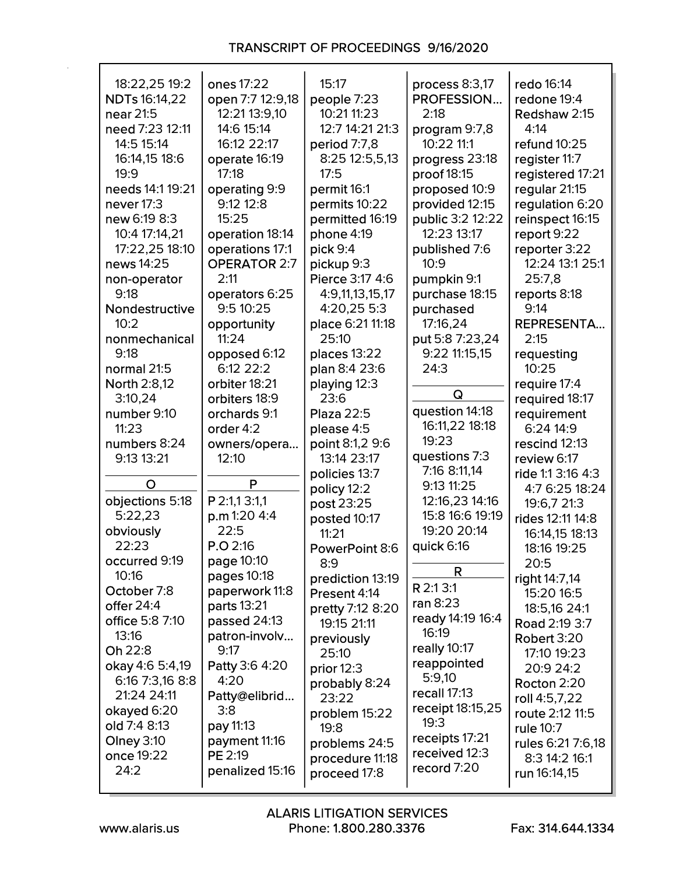| 18:22,25 19:2        | ones 17:22          | 15:17                           | process 8:3,17   | redo 16:14        |
|----------------------|---------------------|---------------------------------|------------------|-------------------|
| <b>NDTs</b> 16:14,22 | open 7:7 12:9,18    | people 7:23                     | PROFESSION       | redone 19:4       |
| near 21:5            | 12:21 13:9,10       | 10:21 11:23                     | 2:18             | Redshaw 2:15      |
| need 7:23 12:11      | 14:6 15:14          | 12:7 14:21 21:3                 | program 9:7,8    | 4:14              |
| 14:5 15:14           | 16:12 22:17         | period 7:7,8                    | 10:22 11:1       | refund 10:25      |
| 16:14,15 18:6        | operate 16:19       | 8:25 12:5,5,13                  | progress 23:18   | register 11:7     |
| 19:9                 | 17:18               | 17:5                            | proof 18:15      | registered 17:21  |
|                      |                     |                                 |                  |                   |
| needs 14:1 19:21     | operating 9:9       | permit 16:1                     | proposed 10:9    | regular 21:15     |
| never 17:3           | 9:12 12:8           | permits 10:22                   | provided 12:15   | regulation 6:20   |
| new 6:19 8:3         | 15:25               | permitted 16:19                 | public 3:2 12:22 | reinspect 16:15   |
| 10:4 17:14,21        | operation 18:14     | phone 4:19                      | 12:23 13:17      | report 9:22       |
| 17:22,25 18:10       | operations 17:1     | pick 9:4                        | published 7:6    | reporter 3:22     |
| news 14:25           | <b>OPERATOR 2:7</b> | pickup 9:3                      | 10:9             | 12:24 13:1 25:1   |
| non-operator         | 2:11                | Pierce 3:17 4:6                 | pumpkin 9:1      | 25:7,8            |
| 9:18                 | operators 6:25      | 4:9,11,13,15,17                 | purchase 18:15   | reports 8:18      |
| Nondestructive       | 9:510:25            | 4:20,25 5:3                     | purchased        | 9:14              |
| 10:2                 | opportunity         | place 6:21 11:18                | 17:16,24         | <b>REPRESENTA</b> |
| nonmechanical        | 11:24               | 25:10                           | put 5:8 7:23,24  | 2:15              |
| 9:18                 | opposed 6:12        | places 13:22                    | 9:22 11:15,15    | requesting        |
| normal 21:5          | $6:12$ 22:2         | plan 8:4 23:6                   | 24:3             | 10:25             |
| North 2:8,12         | orbiter 18:21       | playing 12:3                    |                  | require 17:4      |
| 3:10,24              | orbiters 18:9       | 23:6                            | Q                | required 18:17    |
| number 9:10          | orchards 9:1        | <b>Plaza 22:5</b>               | question 14:18   | requirement       |
| 11:23                | order 4:2           | please 4:5                      | 16:11,22 18:18   | 6:24 14:9         |
| numbers 8:24         | owners/opera        | point 8:1,2 9:6                 | 19:23            | rescind 12:13     |
| 9:13 13:21           | 12:10               | 13:14 23:17                     | questions 7:3    | review 6:17       |
|                      |                     | policies 13:7                   | 7:16 8:11,14     | ride 1:1 3:16 4:3 |
| O                    | P                   | policy 12:2                     | 9:13 11:25       | 4:7 6:25 18:24    |
| objections 5:18      | P 2:1,1 3:1,1       | post 23:25                      | 12:16,23 14:16   | 19:6,7 21:3       |
| 5:22,23              | p.m 1:20 4:4        | posted 10:17                    | 15:8 16:6 19:19  | rides 12:11 14:8  |
| obviously            | 22:5                | 11:21                           | 19:20 20:14      | 16:14,15 18:13    |
| 22:23                | P.O 2:16            | PowerPoint 8:6                  | quick 6:16       | 18:16 19:25       |
| occurred 9:19        | page 10:10          | 8:9                             |                  | 20:5              |
| 10:16                | pages 10:18         | prediction 13:19                | R                | right 14:7,14     |
| October 7:8          | paperwork 11:8      | Present 4:14                    | R 2:1 3:1        | 15:20 16:5        |
| offer 24:4           | parts 13:21         |                                 | ran $8:23$       | 18:5,16 24:1      |
| office 5:8 7:10      | passed 24:13        | pretty 7:12 8:20<br>19:15 21:11 | ready 14:19 16:4 |                   |
| 13:16                | patron-involv       |                                 | 16:19            | Road 2:19 3:7     |
| Oh 22:8              | 9:17                | previously                      | really 10:17     | Robert 3:20       |
| okay 4:6 5:4,19      | Patty 3:6 4:20      | 25:10                           | reappointed      | 17:10 19:23       |
| 6:16 7:3,16 8:8      | 4:20                | prior $12:3$                    | 5:9,10           | 20:9 24:2         |
| 21:24 24:11          |                     | probably 8:24                   | recall 17:13     | Rocton 2:20       |
|                      | Patty@elibrid       | 23:22                           | receipt 18:15,25 | roll 4:5,7,22     |
| okayed 6:20          | 3:8                 | problem 15:22                   | 19:3             | route 2:12 11:5   |
| old 7:4 8:13         | pay 11:13           | 19:8                            | receipts 17:21   | rule 10:7         |
| Olney 3:10           | payment 11:16       | problems 24:5                   | received 12:3    | rules 6:21 7:6,18 |
| once 19:22           | PE 2:19             | procedure 11:18                 | record 7:20      | 8:3 14:2 16:1     |
| 24:2                 | penalized 15:16     | proceed 17:8                    |                  | run 16:14,15      |

 $\mathsf{r}$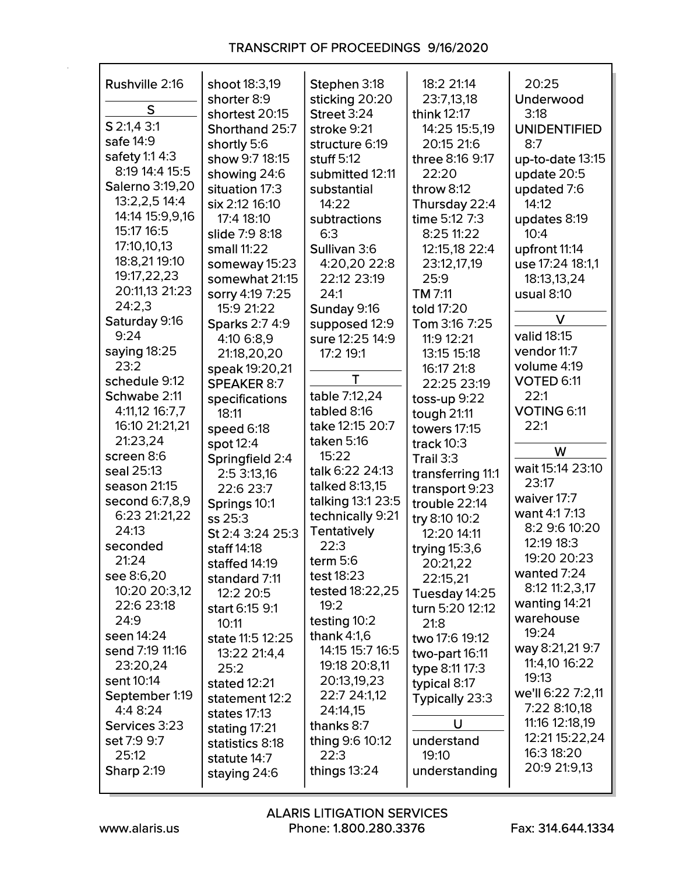| Rushville 2:16         | shoot 18:3,19<br>shorter 8:9 | Stephen 3:18<br>sticking 20:20 | 18:2 21:14<br>23:7,13,18 | 20:25<br>Underwood   |
|------------------------|------------------------------|--------------------------------|--------------------------|----------------------|
| S                      | shortest 20:15               | Street 3:24                    | think 12:17              | 3:18                 |
| S 2:1,4 3:1            | Shorthand 25:7               | stroke 9:21                    | 14:25 15:5,19            | <b>UNIDENTIFIED</b>  |
| safe 14:9              | shortly 5:6                  | structure 6:19                 | 20:15 21:6               | 8:7                  |
| safety 1:1 4:3         | show 9:7 18:15               | stuff $5:12$                   | three 8:16 9:17          | up-to-date 13:15     |
| 8:19 14:4 15:5         | showing 24:6                 | submitted 12:11                | 22:20                    | update 20:5          |
| <b>Salerno 3:19,20</b> | situation 17:3               | substantial                    | throw $8:12$             | updated 7:6          |
| 13:2,2,5 14:4          | six 2:12 16:10               | 14:22                          | Thursday 22:4            | 14:12                |
| 14:14 15:9,9,16        | 17:4 18:10                   | subtractions                   | time 5:12 7:3            |                      |
| 15:17 16:5             | slide 7:9 8:18               | 6:3                            | 8:25 11:22               | updates 8:19<br>10:4 |
| 17:10,10,13            | small 11:22                  | Sullivan 3:6                   |                          |                      |
| 18:8,21 19:10          |                              |                                | 12:15,18 22:4            | upfront 11:14        |
| 19:17,22,23            | someway 15:23                | 4:20,20 22:8                   | 23:12,17,19              | use 17:24 18:1,1     |
| 20:11,13 21:23         | somewhat 21:15               | 22:12 23:19                    | 25:9                     | 18:13,13,24          |
| 24:2,3                 | sorry 4:19 7:25              | 24:1                           | TM 7:11                  | usual $8:10$         |
| Saturday 9:16          | 15:9 21:22                   | Sunday 9:16                    | told 17:20               | V                    |
| 9:24                   | <b>Sparks 2:7 4:9</b>        | supposed 12:9                  | Tom 3:16 7:25            | valid 18:15          |
| saying 18:25           | 4:10 6:8.9                   | sure 12:25 14:9                | 11:9 12:21               | vendor 11:7          |
| 23:2                   | 21:18,20,20                  | 17:2 19:1                      | 13:15 15:18              | volume 4:19          |
| schedule 9:12          | speak 19:20,21               | T                              | 16:17 21:8               | VOTED 6:11           |
| Schwabe 2:11           | <b>SPEAKER 8:7</b>           | table 7:12,24                  | 22:25 23:19              | 22:1                 |
| 4:11,12 16:7,7         | specifications               | tabled 8:16                    | toss-up $9:22$           | VOTING 6:11          |
| 16:10 21:21,21         | 18:11                        | take 12:15 20:7                | tough 21:11              | 22:1                 |
| 21:23,24               | speed 6:18                   | taken 5:16                     | towers 17:15             |                      |
| screen 8:6             | spot 12:4                    | 15:22                          | track $10:3$             | W                    |
| seal 25:13             | Springfield 2:4              | talk 6:22 24:13                | Trail 3:3                | wait 15:14 23:10     |
| season 21:15           | 2:5 3:13,16                  | talked 8:13,15                 | transferring 11:1        | 23:17                |
|                        | 22:6 23:7                    |                                | transport 9:23           | waiver 17:7          |
| second 6:7,8,9         | Springs 10:1                 | talking 13:1 23:5              | trouble 22:14            | want 4:1 7:13        |
| 6:23 21:21,22<br>24:13 | ss 25:3                      | technically 9:21               | try 8:10 10:2            | 8:2 9:6 10:20        |
|                        | St 2:4 3:24 25:3             | <b>Tentatively</b>             | 12:20 14:11              | 12:19 18:3           |
| seconded               | staff 14:18                  | 22:3                           | trying 15:3,6            | 19:20 20:23          |
| 21:24                  | staffed $14:19$              | term $5:6$                     | 20:21,22                 | wanted 7:24          |
| see 8:6,20             | standard 7:11                | test 18:23                     | 22:15,21                 | 8:12 11:2,3,17       |
| 10:20 20:3,12          | 12:2 20:5                    | tested 18:22,25                | Tuesday 14:25            | wanting 14:21        |
| 22:6 23:18             | start 6:15 9:1               | 19:2                           | turn 5:20 12:12          | warehouse            |
| 24:9                   | 10:11                        | testing 10:2                   | 21:8                     | 19:24                |
| seen 14:24             | state 11:5 12:25             | thank $4:1,6$                  | two 17:6 19:12           | way 8:21,21 9:7      |
| send 7:19 11:16        | 13:22 21:4,4                 | 14:15 15:7 16:5                | two-part 16:11           | 11:4,10 16:22        |
| 23:20,24               | 25:2                         | 19:18 20:8,11                  | type 8:11 17:3           |                      |
| sent 10:14             | stated $12:21$               | 20:13,19,23                    | typical 8:17             | 19:13                |
| September 1:19         | statement 12:2               | 22:7 24:1,12                   | Typically 23:3           | we'll 6:22 7:2,11    |
| 4:4 8:24               | states 17:13                 | 24:14,15                       |                          | 7:22 8:10,18         |
| Services 3:23          | stating 17:21                | thanks 8:7                     | U                        | 11:16 12:18,19       |
| set 7:9 9:7            | statistics 8:18              | thing 9:6 10:12                | understand               | 12:21 15:22,24       |
| 25:12                  | statute 14:7                 | 22:3                           | 19:10                    | 16:3 18:20           |
| <b>Sharp 2:19</b>      | staying 24:6                 | things $13:24$                 | understanding            | 20:9 21:9,13         |
|                        |                              |                                |                          |                      |

г